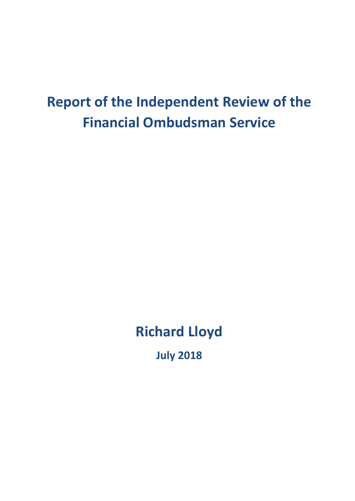# **Report of the Independent Review of the Financial Ombudsman Service**

# **Richard Lloyd**

**July 2018**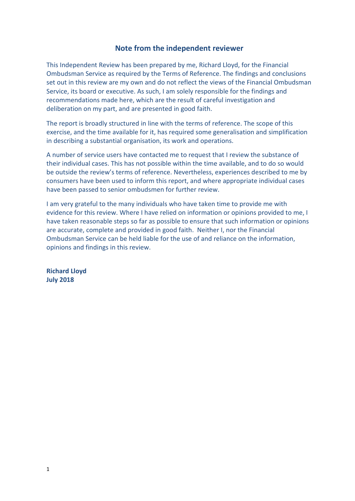## **Note from the independent reviewer**

This Independent Review has been prepared by me, Richard Lloyd, for the Financial Ombudsman Service as required by the Terms of Reference. The findings and conclusions set out in this review are my own and do not reflect the views of the Financial Ombudsman Service, its board or executive. As such, I am solely responsible for the findings and recommendations made here, which are the result of careful investigation and deliberation on my part, and are presented in good faith.

The report is broadly structured in line with the terms of reference. The scope of this exercise, and the time available for it, has required some generalisation and simplification in describing a substantial organisation, its work and operations.

A number of service users have contacted me to request that I review the substance of their individual cases. This has not possible within the time available, and to do so would be outside the review's terms of reference. Nevertheless, experiences described to me by consumers have been used to inform this report, and where appropriate individual cases have been passed to senior ombudsmen for further review.

I am very grateful to the many individuals who have taken time to provide me with evidence for this review. Where I have relied on information or opinions provided to me, I have taken reasonable steps so far as possible to ensure that such information or opinions are accurate, complete and provided in good faith. Neither I, nor the Financial Ombudsman Service can be held liable for the use of and reliance on the information, opinions and findings in this review.

**Richard Lloyd July 2018**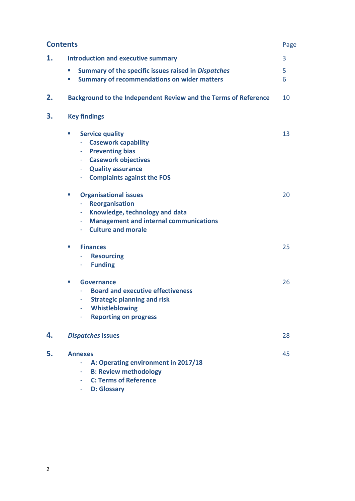|    | <b>Contents</b>                                                                                                                                                                                   |        |  |  |
|----|---------------------------------------------------------------------------------------------------------------------------------------------------------------------------------------------------|--------|--|--|
| 1. | <b>Introduction and executive summary</b>                                                                                                                                                         |        |  |  |
|    | Summary of the specific issues raised in Dispatches<br>ш<br><b>Summary of recommendations on wider matters</b><br>$\blacksquare$                                                                  | 5<br>6 |  |  |
| 2. | Background to the Independent Review and the Terms of Reference                                                                                                                                   | 10     |  |  |
| 3. | <b>Key findings</b>                                                                                                                                                                               |        |  |  |
|    | <b>Service quality</b><br>ш<br><b>Casework capability</b><br><b>Preventing bias</b><br><b>Casework objectives</b><br>٠<br><b>Quality assurance</b><br>٠<br><b>Complaints against the FOS</b><br>۰ | 13     |  |  |
|    | <b>Organisational issues</b><br>×.<br><b>Reorganisation</b><br>÷<br>Knowledge, technology and data<br>۰<br><b>Management and internal communications</b><br>۰<br><b>Culture and morale</b>        | 20     |  |  |
|    | <b>Finances</b><br>×.<br><b>Resourcing</b><br>۰<br><b>Funding</b>                                                                                                                                 | 25     |  |  |
|    | <b>Governance</b><br>×.<br><b>Board and executive effectiveness</b><br><b>Strategic planning and risk</b><br>Whistleblowing<br><b>Reporting on progress</b><br>۰                                  | 26     |  |  |
| 4. | <b>Dispatches issues</b>                                                                                                                                                                          | 28     |  |  |
| 5. | <b>Annexes</b><br>A: Operating environment in 2017/18<br><b>B: Review methodology</b><br><b>C: Terms of Reference</b><br>÷<br><b>D: Glossary</b>                                                  | 45     |  |  |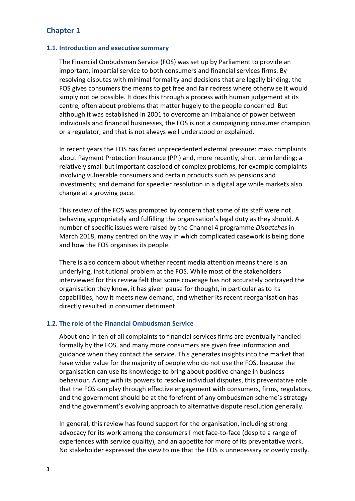# **Chapter 1**

## **1.1. Introduction and executive summary**

The Financial Ombudsman Service (FOS) was set up by Parliament to provide an important, impartial service to both consumers and financial services firms. By resolving disputes with minimal formality and decisions that are legally binding, the FOS gives consumers the means to get free and fair redress where otherwise it would simply not be possible. It does this through a process with human judgement at its centre, often about problems that matter hugely to the people concerned. But although it was established in 2001 to overcome an imbalance of power between individuals and financial businesses, the FOS is not a campaigning consumer champion or a regulator, and that is not always well understood or explained.

In recent years the FOS has faced unprecedented external pressure: mass complaints about Payment Protection Insurance (PPI) and, more recently, short term lending; a relatively small but important caseload of complex problems, for example complaints involving vulnerable consumers and certain products such as pensions and investments; and demand for speedier resolution in a digital age while markets also change at a growing pace.

This review of the FOS was prompted by concern that some of its staff were not behaving appropriately and fulfilling the organisation's legal duty as they should. A number of specific issues were raised by the Channel 4 programme *Dispatches* in March 2018, many centred on the way in which complicated casework is being done and how the FOS organises its people.

There is also concern about whether recent media attention means there is an underlying, institutional problem at the FOS. While most of the stakeholders interviewed for this review felt that some coverage has not accurately portrayed the organisation they know, it has given pause for thought, in particular as to its capabilities, how it meets new demand, and whether its recent reorganisation has directly resulted in consumer detriment.

## **1.2. The role of the Financial Ombudsman Service**

About one in ten of all complaints to financial services firms are eventually handled formally by the FOS, and many more consumers are given free information and guidance when they contact the service. This generates insights into the market that have wider value for the majority of people who do not use the FOS, because the organisation can use its knowledge to bring about positive change in business behaviour. Along with its powers to resolve individual disputes, this preventative role that the FOS can play through effective engagement with consumers, firms, regulators, and the government should be at the forefront of any ombudsman scheme's strategy and the government's evolving approach to alternative dispute resolution generally.

In general, this review has found support for the organisation, including strong advocacy for its work among the consumers I met face-to-face (despite a range of experiences with service quality), and an appetite for more of its preventative work. No stakeholder expressed the view to me that the FOS is unnecessary or overly costly.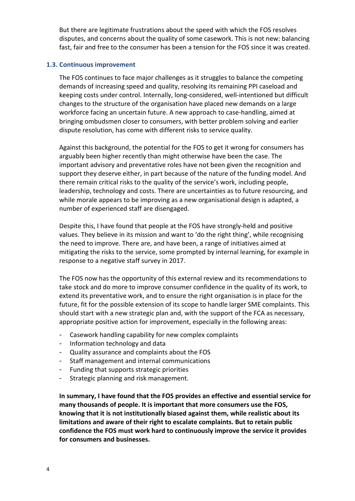But there are legitimate frustrations about the speed with which the FOS resolves disputes, and concerns about the quality of some casework. This is not new: balancing fast, fair and free to the consumer has been a tension for the FOS since it was created.

## **1.3. Continuous improvement**

The FOS continues to face major challenges as it struggles to balance the competing demands of increasing speed and quality, resolving its remaining PPI caseload and keeping costs under control. Internally, long-considered, well-intentioned but difficult changes to the structure of the organisation have placed new demands on a large workforce facing an uncertain future. A new approach to case-handling, aimed at bringing ombudsmen closer to consumers, with better problem solving and earlier dispute resolution, has come with different risks to service quality.

Against this background, the potential for the FOS to get it wrong for consumers has arguably been higher recently than might otherwise have been the case. The important advisory and preventative roles have not been given the recognition and support they deserve either, in part because of the nature of the funding model. And there remain critical risks to the quality of the service's work, including people, leadership, technology and costs. There are uncertainties as to future resourcing, and while morale appears to be improving as a new organisational design is adapted, a number of experienced staff are disengaged.

Despite this, I have found that people at the FOS have strongly-held and positive values. They believe in its mission and want to 'do the right thing', while recognising the need to improve. There are, and have been, a range of initiatives aimed at mitigating the risks to the service, some prompted by internal learning, for example in response to a negative staff survey in 2017.

The FOS now has the opportunity of this external review and its recommendations to take stock and do more to improve consumer confidence in the quality of its work, to extend its preventative work, and to ensure the right organisation is in place for the future, fit for the possible extension of its scope to handle larger SME complaints. This should start with a new strategic plan and, with the support of the FCA as necessary, appropriate positive action for improvement, especially in the following areas:

- Casework handling capability for new complex complaints
- Information technology and data
- Quality assurance and complaints about the FOS
- Staff management and internal communications
- Funding that supports strategic priorities
- Strategic planning and risk management.

**In summary, I have found that the FOS provides an effective and essential service for many thousands of people. It is important that more consumers use the FOS, knowing that it is not institutionally biased against them, while realistic about its limitations and aware of their right to escalate complaints. But to retain public confidence the FOS must work hard to continuously improve the service it provides for consumers and businesses.**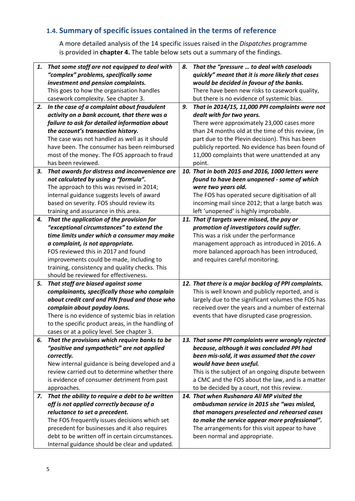# **1.4. Summary of specific issues contained in the terms of reference**

A more detailed analysis of the 14 specific issues raised in the *Dispatches* programme is provided in **chapter 4.** The table below sets out a summary of the findings.

| 1. | That some staff are not equipped to deal with     | 8. | That the "pressure  to deal with caseloads           |
|----|---------------------------------------------------|----|------------------------------------------------------|
|    | "complex" problems, specifically some             |    | quickly" meant that it is more likely that cases     |
|    | investment and pension complaints.                |    | would be decided in favour of the banks.             |
|    | This goes to how the organisation handles         |    | There have been new risks to casework quality,       |
|    | casework complexity. See chapter 3.               |    | but there is no evidence of systemic bias.           |
| 2. | In the case of a complaint about fraudulent       | 9. | That in 2014/15, 11,000 PPI complaints were not      |
|    | activity on a bank account, that there was a      |    | dealt with for two years.                            |
|    | failure to ask for detailed information about     |    | There were approximately 23,000 cases more           |
|    | the account's transaction history.                |    | than 24 months old at the time of this review, (in   |
|    | The case was not handled as well as it should     |    | part due to the Plevin decision). This has been      |
|    | have been. The consumer has been reimbursed       |    | publicly reported. No evidence has been found of     |
|    | most of the money. The FOS approach to fraud      |    | 11,000 complaints that were unattended at any        |
|    | has been reviewed.                                |    | point.                                               |
| 3. | That awards for distress and inconvenience are    |    | 10. That in both 2015 and 2016, 1000 letters were    |
|    | not calculated by using a "formula".              |    | found to have been unopened - some of which          |
|    | The approach to this was revised in 2014;         |    | were two years old.                                  |
|    | internal guidance suggests levels of award        |    | The FOS has operated secure digitisation of all      |
|    | based on severity. FOS should review its          |    | incoming mail since 2012; that a large batch was     |
|    | training and assurance in this area.              |    | left 'unopened' is highly improbable.                |
| 4. | That the application of the provision for         |    | 11. That if targets were missed, the pay or          |
|    | "exceptional circumstances" to extend the         |    | promotion of investigators could suffer.             |
|    | time limits under which a consumer may make       |    | This was a risk under the performance                |
|    | a complaint, is not appropriate.                  |    | management approach as introduced in 2016. A         |
|    | FOS reviewed this in 2017 and found               |    | more balanced approach has been introduced,          |
|    | improvements could be made, including to          |    | and requires careful monitoring.                     |
|    | training, consistency and quality checks. This    |    |                                                      |
|    | should be reviewed for effectiveness.             |    |                                                      |
| 5. | That staff are biased against some                |    | 12. That there is a major backlog of PPI complaints. |
|    | complainants, specifically those who complain     |    | This is well known and publicly reported, and is     |
|    | about credit card and PIN fraud and those who     |    | largely due to the significant volumes the FOS has   |
|    | complain about payday loans.                      |    | received over the years and a number of external     |
|    | There is no evidence of systemic bias in relation |    | events that have disrupted case progression.         |
|    | to the specific product areas, in the handling of |    |                                                      |
|    | cases or at a policy level. See chapter 3.        |    |                                                      |
| 6. | That the provisions which require banks to be     |    | 13. That some PPI complaints were wrongly rejected   |
|    | "positive and sympathetic" are not applied        |    | because, although it was concluded PPI had           |
|    | correctly.                                        |    | been mis-sold, it was assumed that the cover         |
|    | New internal guidance is being developed and a    |    | would have been useful.                              |
|    | review carried out to determine whether there     |    | This is the subject of an ongoing dispute between    |
|    | is evidence of consumer detriment from past       |    | a CMC and the FOS about the law, and is a matter     |
|    | approaches.                                       |    | to be decided by a court, not this review.           |
| 7. | That the ability to require a debt to be written  |    | 14. That when Rushanara Ali MP visited the           |
|    | off is not applied correctly because of a         |    | ombudsman service in 2015 she "was misled,           |
|    | reluctance to set a precedent.                    |    | that managers preselected and rehearsed cases        |
|    | The FOS frequently issues decisions which set     |    | to make the service appear more professional".       |
|    | precedent for businesses and it also requires     |    | The arrangements for this visit appear to have       |
|    | debt to be written off in certain circumstances.  |    | been normal and appropriate.                         |
|    | Internal guidance should be clear and updated.    |    |                                                      |
|    |                                                   |    |                                                      |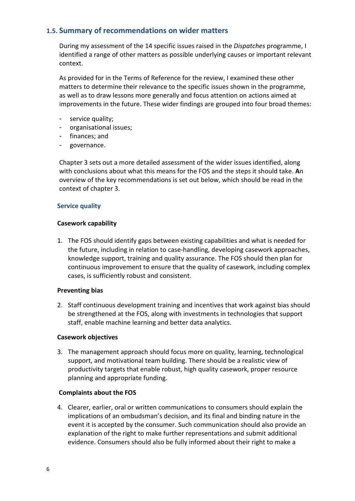## **1.5. Summary of recommendations on wider matters**

During my assessment of the 14 specific issues raised in the *Dispatches* programme, I identified a range of other matters as possible underlying causes or important relevant context.

As provided for in the Terms of Reference for the review, I examined these other matters to determine their relevance to the specific issues shown in the programme, as well as to draw lessons more generally and focus attention on actions aimed at improvements in the future. These wider findings are grouped into four broad themes:

- service quality;
- organisational issues;
- finances; and
- governance.

Chapter 3 sets out a more detailed assessment of the wider issues identified, along with conclusions about what this means for the FOS and the steps it should take. **A**n overview of the key recommendations is set out below, which should be read in the context of chapter 3.

## **Service quality**

## **Casework capability**

1. The FOS should identify gaps between existing capabilities and what is needed for the future, including in relation to case-handling, developing casework approaches, knowledge support, training and quality assurance. The FOS should then plan for continuous improvement to ensure that the quality of casework, including complex cases, is sufficiently robust and consistent.

## **Preventing bias**

2. Staff continuous development training and incentives that work against bias should be strengthened at the FOS, along with investments in technologies that support staff, enable machine learning and better data analytics.

## **Casework objectives**

3. The management approach should focus more on quality, learning, technological support, and motivational team building. There should be a realistic view of productivity targets that enable robust, high quality casework, proper resource planning and appropriate funding.

## **Complaints about the FOS**

4. Clearer, earlier, oral or written communications to consumers should explain the implications of an ombudsman's decision, and its final and binding nature in the event it is accepted by the consumer. Such communication should also provide an explanation of the right to make further representations and submit additional evidence. Consumers should also be fully informed about their right to make a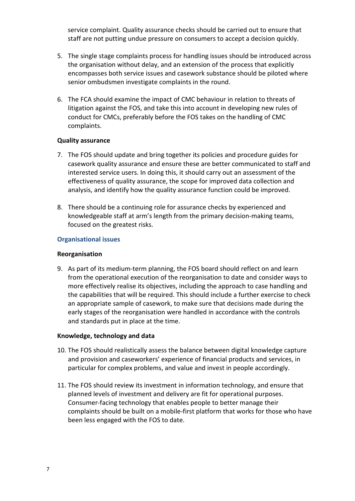service complaint. Quality assurance checks should be carried out to ensure that staff are not putting undue pressure on consumers to accept a decision quickly.

- 5. The single stage complaints process for handling issues should be introduced across the organisation without delay, and an extension of the process that explicitly encompasses both service issues and casework substance should be piloted where senior ombudsmen investigate complaints in the round.
- 6. The FCA should examine the impact of CMC behaviour in relation to threats of litigation against the FOS, and take this into account in developing new rules of conduct for CMCs, preferably before the FOS takes on the handling of CMC complaints.

## **Quality assurance**

- 7. The FOS should update and bring together its policies and procedure guides for casework quality assurance and ensure these are better communicated to staff and interested service users. In doing this, it should carry out an assessment of the effectiveness of quality assurance, the scope for improved data collection and analysis, and identify how the quality assurance function could be improved.
- 8. There should be a continuing role for assurance checks by experienced and knowledgeable staff at arm's length from the primary decision-making teams, focused on the greatest risks.

## **Organisational issues**

## **Reorganisation**

9. As part of its medium-term planning, the FOS board should reflect on and learn from the operational execution of the reorganisation to date and consider ways to more effectively realise its objectives, including the approach to case handling and the capabilities that will be required. This should include a further exercise to check an appropriate sample of casework, to make sure that decisions made during the early stages of the reorganisation were handled in accordance with the controls and standards put in place at the time.

## **Knowledge, technology and data**

- 10. The FOS should realistically assess the balance between digital knowledge capture and provision and caseworkers' experience of financial products and services, in particular for complex problems, and value and invest in people accordingly.
- 11. The FOS should review its investment in information technology, and ensure that planned levels of investment and delivery are fit for operational purposes. Consumer-facing technology that enables people to better manage their complaints should be built on a mobile-first platform that works for those who have been less engaged with the FOS to date.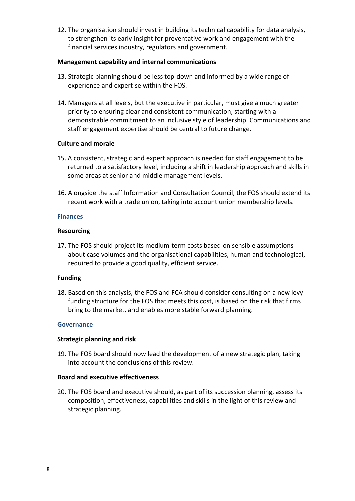12. The organisation should invest in building its technical capability for data analysis, to strengthen its early insight for preventative work and engagement with the financial services industry, regulators and government.

#### **Management capability and internal communications**

- 13. Strategic planning should be less top-down and informed by a wide range of experience and expertise within the FOS.
- 14. Managers at all levels, but the executive in particular, must give a much greater priority to ensuring clear and consistent communication, starting with a demonstrable commitment to an inclusive style of leadership. Communications and staff engagement expertise should be central to future change.

## **Culture and morale**

- 15. A consistent, strategic and expert approach is needed for staff engagement to be returned to a satisfactory level, including a shift in leadership approach and skills in some areas at senior and middle management levels.
- 16. Alongside the staff Information and Consultation Council, the FOS should extend its recent work with a trade union, taking into account union membership levels.

#### **Finances**

#### **Resourcing**

17. The FOS should project its medium-term costs based on sensible assumptions about case volumes and the organisational capabilities, human and technological, required to provide a good quality, efficient service.

## **Funding**

18. Based on this analysis, the FOS and FCA should consider consulting on a new levy funding structure for the FOS that meets this cost, is based on the risk that firms bring to the market, and enables more stable forward planning.

#### **Governance**

## **Strategic planning and risk**

19. The FOS board should now lead the development of a new strategic plan, taking into account the conclusions of this review.

#### **Board and executive effectiveness**

20. The FOS board and executive should, as part of its succession planning, assess its composition, effectiveness, capabilities and skills in the light of this review and strategic planning.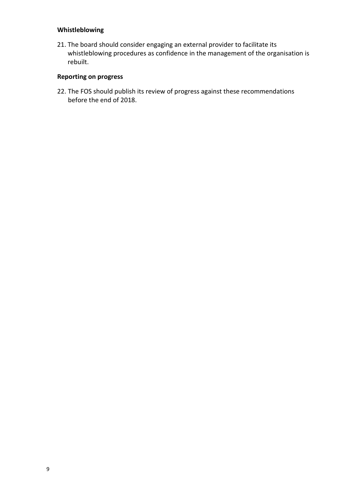## **Whistleblowing**

21. The board should consider engaging an external provider to facilitate its whistleblowing procedures as confidence in the management of the organisation is rebuilt.

## **Reporting on progress**

22. The FOS should publish its review of progress against these recommendations before the end of 2018.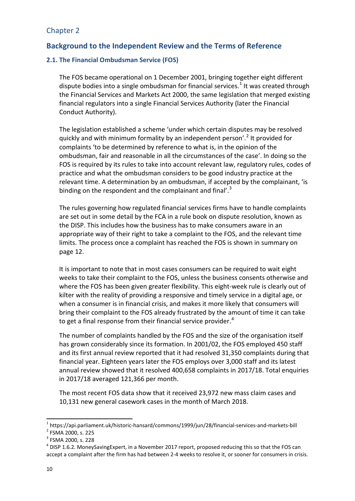# Chapter 2

## **Background to the Independent Review and the Terms of Reference**

## **2.1. The Financial Ombudsman Service (FOS)**

The FOS became operational on 1 December 2001, bringing together eight different dispute bodies into a single ombudsman for financial services.<sup>[1](#page-10-0)</sup> It was created through the Financial Services and Markets Act 2000, the same legislation that merged existing financial regulators into a single Financial Services Authority (later the Financial Conduct Authority).

The legislation established a scheme 'under which certain disputes may be resolved quickly and with minimum formality by an independent person'. [2](#page-10-1) It provided for complaints 'to be determined by reference to what is, in the opinion of the ombudsman, fair and reasonable in all the circumstances of the case'. In doing so the FOS is required by its rules to take into account relevant law, regulatory rules, codes of practice and what the ombudsman considers to be good industry practice at the relevant time. A determination by an ombudsman, if accepted by the complainant, 'is binding on the respondent and the complainant and final'.<sup>[3](#page-10-2)</sup>

The rules governing how regulated financial services firms have to handle complaints are set out in some detail by the FCA in a rule book on dispute resolution, known as the DISP. This includes how the business has to make consumers aware in an appropriate way of their right to take a complaint to the FOS, and the relevant time limits. The process once a complaint has reached the FOS is shown in summary on page 12.

It is important to note that in most cases consumers can be required to wait eight weeks to take their complaint to the FOS, unless the business consents otherwise and where the FOS has been given greater flexibility. This eight-week rule is clearly out of kilter with the reality of providing a responsive and timely service in a digital age, or when a consumer is in financial crisis, and makes it more likely that consumers will bring their complaint to the FOS already frustrated by the amount of time it can take to get a final response from their financial service provider. $4$ 

The number of complaints handled by the FOS and the size of the organisation itself has grown considerably since its formation. In 2001/02, the FOS employed 450 staff and its first annual review reported that it had resolved 31,350 complaints during that financial year. Eighteen years later the FOS employs over 3,000 staff and its latest annual review showed that it resolved 400,658 complaints in 2017/18. Total enquiries in 2017/18 averaged 121,366 per month.

The most recent FOS data show that it received 23,972 new mass claim cases and 10,131 new general casework cases in the month of March 2018.

<span id="page-10-0"></span><sup>&</sup>lt;sup>1</sup> https://api.parliament.uk/historic-hansard/commons/1999/jun/28/financial-services-and-markets-bill  $^{2}$  FSMA 2000. s. 225

<span id="page-10-2"></span><span id="page-10-1"></span><sup>3</sup> FSMA 2000, s. 228

<span id="page-10-3"></span> $^{4}$  DISP 1.6.2. MoneySavingExpert, in a November 2017 report, proposed reducing this so that the FOS can accept a complaint after the firm has had between 2-4 weeks to resolve it, or sooner for consumers in crisis.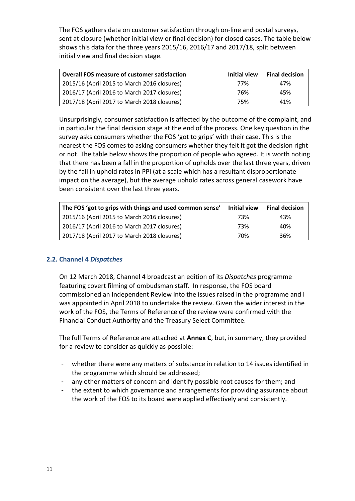The FOS gathers data on customer satisfaction through on-line and postal surveys, sent at closure (whether initial view or final decision) for closed cases. The table below shows this data for the three years 2015/16, 2016/17 and 2017/18, split between initial view and final decision stage.

| <b>Overall FOS measure of customer satisfaction</b> | Initial view | <b>Final decision</b> |
|-----------------------------------------------------|--------------|-----------------------|
| 2015/16 (April 2015 to March 2016 closures)         | 77%          | 47%                   |
| 2016/17 (April 2016 to March 2017 closures)         | 76%          | 45%                   |
| 2017/18 (April 2017 to March 2018 closures)         | 75%          | 41%                   |

Unsurprisingly, consumer satisfaction is affected by the outcome of the complaint, and in particular the final decision stage at the end of the process. One key question in the survey asks consumers whether the FOS 'got to grips' with their case. This is the nearest the FOS comes to asking consumers whether they felt it got the decision right or not. The table below shows the proportion of people who agreed. It is worth noting that there has been a fall in the proportion of upholds over the last three years, driven by the fall in uphold rates in PPI (at a scale which has a resultant disproportionate impact on the average), but the average uphold rates across general casework have been consistent over the last three years.

| The FOS 'got to grips with things and used common sense' | Initial view | <b>Final decision</b> |
|----------------------------------------------------------|--------------|-----------------------|
| 2015/16 (April 2015 to March 2016 closures)              | 73%          | 43%                   |
| 2016/17 (April 2016 to March 2017 closures)              | 73%          | 40%                   |
| 2017/18 (April 2017 to March 2018 closures)              | 70%          | 36%                   |

## **2.2. Channel 4** *Dispatches*

On 12 March 2018, Channel 4 broadcast an edition of its *Dispatches* programme featuring covert filming of ombudsman staff. In response, the FOS board commissioned an Independent Review into the issues raised in the programme and I was appointed in April 2018 to undertake the review. Given the wider interest in the work of the FOS, the Terms of Reference of the review were confirmed with the Financial Conduct Authority and the Treasury Select Committee.

The full Terms of Reference are attached at **Annex C**, but, in summary, they provided for a review to consider as quickly as possible:

- whether there were any matters of substance in relation to 14 issues identified in the programme which should be addressed;
- any other matters of concern and identify possible root causes for them; and
- the extent to which governance and arrangements for providing assurance about the work of the FOS to its board were applied effectively and consistently.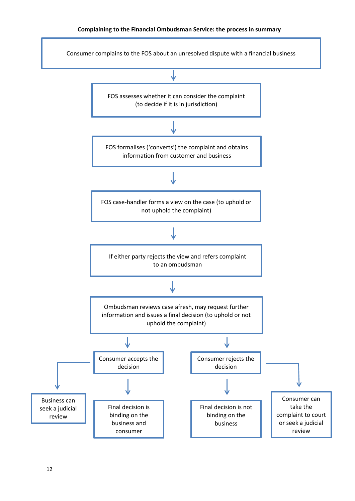## **Complaining to the Financial Ombudsman Service: the process in summary**

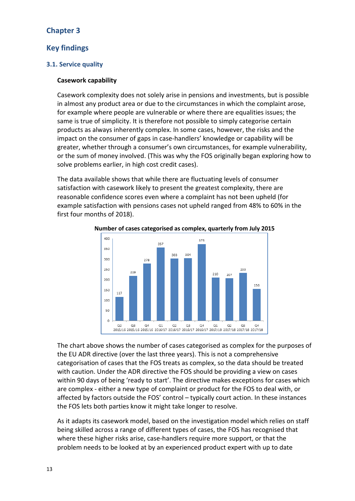# **Chapter 3**

## **Key findings**

## **3.1. Service quality**

#### **Casework capability**

Casework complexity does not solely arise in pensions and investments, but is possible in almost any product area or due to the circumstances in which the complaint arose, for example where people are vulnerable or where there are equalities issues; the same is true of simplicity. It is therefore not possible to simply categorise certain products as always inherently complex. In some cases, however, the risks and the impact on the consumer of gaps in case-handlers' knowledge or capability will be greater, whether through a consumer's own circumstances, for example vulnerability, or the sum of money involved. (This was why the FOS originally began exploring how to solve problems earlier, in high cost credit cases).

The data available shows that while there are fluctuating levels of consumer satisfaction with casework likely to present the greatest complexity, there are reasonable confidence scores even where a complaint has not been upheld (for example satisfaction with pensions cases not upheld ranged from 48% to 60% in the first four months of 2018).



**Number of cases categorised as complex, quarterly from July 2015**

The chart above shows the number of cases categorised as complex for the purposes of the EU ADR directive (over the last three years). This is not a comprehensive categorisation of cases that the FOS treats as complex, so the data should be treated with caution. Under the ADR directive the FOS should be providing a view on cases within 90 days of being 'ready to start'. The directive makes exceptions for cases which are complex - either a new type of complaint or product for the FOS to deal with, or affected by factors outside the FOS' control – typically court action. In these instances the FOS lets both parties know it might take longer to resolve.

As it adapts its casework model, based on the investigation model which relies on staff being skilled across a range of different types of cases, the FOS has recognised that where these higher risks arise, case-handlers require more support, or that the problem needs to be looked at by an experienced product expert with up to date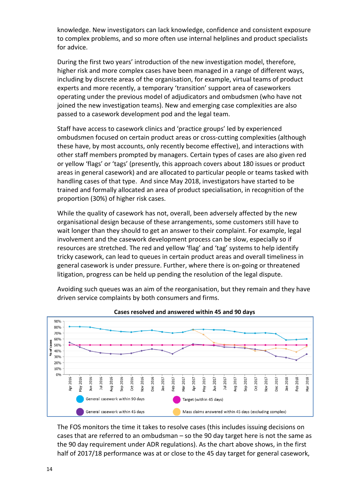knowledge. New investigators can lack knowledge, confidence and consistent exposure to complex problems, and so more often use internal helplines and product specialists for advice.

During the first two years' introduction of the new investigation model, therefore, higher risk and more complex cases have been managed in a range of different ways, including by discrete areas of the organisation, for example, virtual teams of product experts and more recently, a temporary 'transition' support area of caseworkers operating under the previous model of adjudicators and ombudsmen (who have not joined the new investigation teams). New and emerging case complexities are also passed to a casework development pod and the legal team.

Staff have access to casework clinics and 'practice groups' led by experienced ombudsmen focused on certain product areas or cross-cutting complexities (although these have, by most accounts, only recently become effective), and interactions with other staff members prompted by managers. Certain types of cases are also given red or yellow 'flags' or 'tags' (presently, this approach covers about 180 issues or product areas in general casework) and are allocated to particular people or teams tasked with handling cases of that type. And since May 2018, investigators have started to be trained and formally allocated an area of product specialisation, in recognition of the proportion (30%) of higher risk cases.

While the quality of casework has not, overall, been adversely affected by the new organisational design because of these arrangements, some customers still have to wait longer than they should to get an answer to their complaint. For example, legal involvement and the casework development process can be slow, especially so if resources are stretched. The red and yellow 'flag' and 'tag' systems to help identify tricky casework, can lead to queues in certain product areas and overall timeliness in general casework is under pressure. Further, where there is on-going or threatened litigation, progress can be held up pending the resolution of the legal dispute.

Avoiding such queues was an aim of the reorganisation, but they remain and they have driven service complaints by both consumers and firms.



**Cases resolved and answered within 45 and 90 days**

The FOS monitors the time it takes to resolve cases (this includes issuing decisions on cases that are referred to an ombudsman – so the 90 day target here is not the same as the 90 day requirement under ADR regulations). As the chart above shows, in the first half of 2017/18 performance was at or close to the 45 day target for general casework,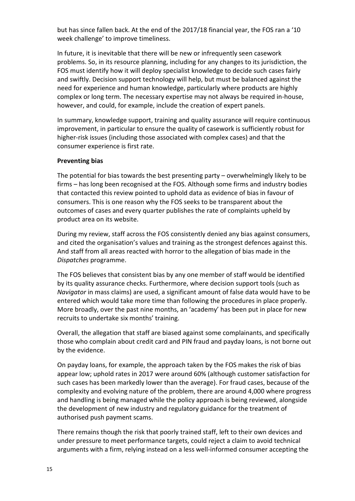but has since fallen back. At the end of the 2017/18 financial year, the FOS ran a '10 week challenge' to improve timeliness.

In future, it is inevitable that there will be new or infrequently seen casework problems. So, in its resource planning, including for any changes to its jurisdiction, the FOS must identify how it will deploy specialist knowledge to decide such cases fairly and swiftly. Decision support technology will help, but must be balanced against the need for experience and human knowledge, particularly where products are highly complex or long term. The necessary expertise may not always be required in-house, however, and could, for example, include the creation of expert panels.

In summary, knowledge support, training and quality assurance will require continuous improvement, in particular to ensure the quality of casework is sufficiently robust for higher-risk issues (including those associated with complex cases) and that the consumer experience is first rate.

## **Preventing bias**

The potential for bias towards the best presenting party – overwhelmingly likely to be firms – has long been recognised at the FOS. Although some firms and industry bodies that contacted this review pointed to uphold data as evidence of bias in favour of consumers. This is one reason why the FOS seeks to be transparent about the outcomes of cases and every quarter publishes the rate of complaints upheld by product area on its website.

During my review, staff across the FOS consistently denied any bias against consumers, and cited the organisation's values and training as the strongest defences against this. And staff from all areas reacted with horror to the allegation of bias made in the *Dispatches* programme.

The FOS believes that consistent bias by any one member of staff would be identified by its quality assurance checks. Furthermore, where decision support tools (such as *Navigator* in mass claims) are used, a significant amount of false data would have to be entered which would take more time than following the procedures in place properly. More broadly, over the past nine months, an 'academy' has been put in place for new recruits to undertake six months' training.

Overall, the allegation that staff are biased against some complainants, and specifically those who complain about credit card and PIN fraud and payday loans, is not borne out by the evidence.

On payday loans, for example, the approach taken by the FOS makes the risk of bias appear low; uphold rates in 2017 were around 60% (although customer satisfaction for such cases has been markedly lower than the average). For fraud cases, because of the complexity and evolving nature of the problem, there are around 4,000 where progress and handling is being managed while the policy approach is being reviewed, alongside the development of new industry and regulatory guidance for the treatment of authorised push payment scams.

There remains though the risk that poorly trained staff, left to their own devices and under pressure to meet performance targets, could reject a claim to avoid technical arguments with a firm, relying instead on a less well-informed consumer accepting the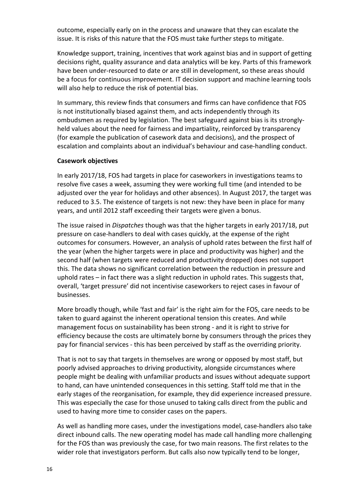outcome, especially early on in the process and unaware that they can escalate the issue. It is risks of this nature that the FOS must take further steps to mitigate.

Knowledge support, training, incentives that work against bias and in support of getting decisions right, quality assurance and data analytics will be key. Parts of this framework have been under-resourced to date or are still in development, so these areas should be a focus for continuous improvement. IT decision support and machine learning tools will also help to reduce the risk of potential bias.

In summary, this review finds that consumers and firms can have confidence that FOS is not institutionally biased against them, and acts independently through its ombudsmen as required by legislation. The best safeguard against bias is its stronglyheld values about the need for fairness and impartiality, reinforced by transparency (for example the publication of casework data and decisions), and the prospect of escalation and complaints about an individual's behaviour and case-handling conduct.

## **Casework objectives**

In early 2017/18, FOS had targets in place for caseworkers in investigations teams to resolve five cases a week, assuming they were working full time (and intended to be adjusted over the year for holidays and other absences). In August 2017, the target was reduced to 3.5. The existence of targets is not new: they have been in place for many years, and until 2012 staff exceeding their targets were given a bonus.

The issue raised in *Dispatches* though was that the higher targets in early 2017/18, put pressure on case-handlers to deal with cases quickly, at the expense of the right outcomes for consumers. However, an analysis of uphold rates between the first half of the year (when the higher targets were in place and productivity was higher) and the second half (when targets were reduced and productivity dropped) does not support this. The data shows no significant correlation between the reduction in pressure and uphold rates – in fact there was a slight reduction in uphold rates. This suggests that, overall, 'target pressure' did not incentivise caseworkers to reject cases in favour of businesses.

More broadly though, while 'fast and fair' is the right aim for the FOS, care needs to be taken to guard against the inherent operational tension this creates. And while management focus on sustainability has been strong - and it is right to strive for efficiency because the costs are ultimately borne by consumers through the prices they pay for financial services - this has been perceived by staff as the overriding priority.

That is not to say that targets in themselves are wrong or opposed by most staff, but poorly advised approaches to driving productivity, alongside circumstances where people might be dealing with unfamiliar products and issues without adequate support to hand, can have unintended consequences in this setting. Staff told me that in the early stages of the reorganisation, for example, they did experience increased pressure. This was especially the case for those unused to taking calls direct from the public and used to having more time to consider cases on the papers.

As well as handling more cases, under the investigations model, case-handlers also take direct inbound calls. The new operating model has made call handling more challenging for the FOS than was previously the case, for two main reasons. The first relates to the wider role that investigators perform. But calls also now typically tend to be longer,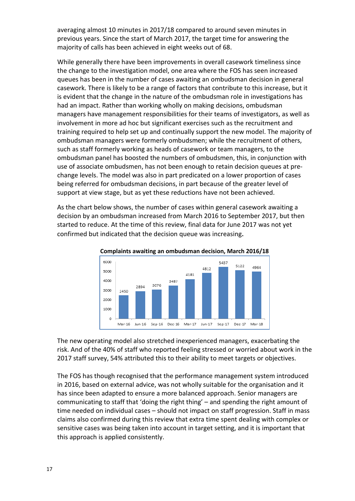averaging almost 10 minutes in 2017/18 compared to around seven minutes in previous years. Since the start of March 2017, the target time for answering the majority of calls has been achieved in eight weeks out of 68.

While generally there have been improvements in overall casework timeliness since the change to the investigation model, one area where the FOS has seen increased queues has been in the number of cases awaiting an ombudsman decision in general casework. There is likely to be a range of factors that contribute to this increase, but it is evident that the change in the nature of the ombudsman role in investigations has had an impact. Rather than working wholly on making decisions, ombudsman managers have management responsibilities for their teams of investigators, as well as involvement in more ad hoc but significant exercises such as the recruitment and training required to help set up and continually support the new model. The majority of ombudsman managers were formerly ombudsmen; while the recruitment of others, such as staff formerly working as heads of casework or team managers, to the ombudsman panel has boosted the numbers of ombudsmen, this, in conjunction with use of associate ombudsmen, has not been enough to retain decision queues at prechange levels. The model was also in part predicated on a lower proportion of cases being referred for ombudsman decisions, in part because of the greater level of support at view stage, but as yet these reductions have not been achieved.

As the chart below shows, the number of cases within general casework awaiting a decision by an ombudsman increased from March 2016 to September 2017, but then started to reduce. At the time of this review, final data for June 2017 was not yet confirmed but indicated that the decision queue was increasing.



**Complaints awaiting an ombudsman decision, March 2016/18**

The new operating model also stretched inexperienced managers, exacerbating the risk. And of the 40% of staff who reported feeling stressed or worried about work in the 2017 staff survey, 54% attributed this to their ability to meet targets or objectives.

The FOS has though recognised that the performance management system introduced in 2016, based on external advice, was not wholly suitable for the organisation and it has since been adapted to ensure a more balanced approach. Senior managers are communicating to staff that 'doing the right thing' – and spending the right amount of time needed on individual cases – should not impact on staff progression. Staff in mass claims also confirmed during this review that extra time spent dealing with complex or sensitive cases was being taken into account in target setting, and it is important that this approach is applied consistently.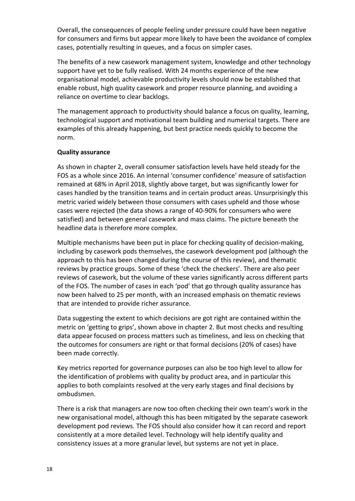Overall, the consequences of people feeling under pressure could have been negative for consumers and firms but appear more likely to have been the avoidance of complex cases, potentially resulting in queues, and a focus on simpler cases.

The benefits of a new casework management system, knowledge and other technology support have yet to be fully realised. With 24 months experience of the new organisational model, achievable productivity levels should now be established that enable robust, high quality casework and proper resource planning, and avoiding a reliance on overtime to clear backlogs.

The management approach to productivity should balance a focus on quality, learning, technological support and motivational team building and numerical targets. There are examples of this already happening, but best practice needs quickly to become the norm.

## **Quality assurance**

As shown in chapter 2, overall consumer satisfaction levels have held steady for the FOS as a whole since 2016. An internal 'consumer confidence' measure of satisfaction remained at 68% in April 2018, slightly above target, but was significantly lower for cases handled by the transition teams and in certain product areas. Unsurprisingly this metric varied widely between those consumers with cases upheld and those whose cases were rejected (the data shows a range of 40-90% for consumers who were satisfied) and between general casework and mass claims. The picture beneath the headline data is therefore more complex.

Multiple mechanisms have been put in place for checking quality of decision-making, including by casework pods themselves, the casework development pod (although the approach to this has been changed during the course of this review), and thematic reviews by practice groups. Some of these 'check the checkers'. There are also peer reviews of casework, but the volume of these varies significantly across different parts of the FOS. The number of cases in each 'pod' that go through quality assurance has now been halved to 25 per month, with an increased emphasis on thematic reviews that are intended to provide richer assurance.

Data suggesting the extent to which decisions are got right are contained within the metric on 'getting to grips', shown above in chapter 2. But most checks and resulting data appear focused on process matters such as timeliness, and less on checking that the outcomes for consumers are right or that formal decisions (20% of cases) have been made correctly.

Key metrics reported for governance purposes can also be too high level to allow for the identification of problems with quality by product area, and in particular this applies to both complaints resolved at the very early stages and final decisions by ombudsmen.

There is a risk that managers are now too often checking their own team's work in the new organisational model, although this has been mitigated by the separate casework development pod reviews. The FOS should also consider how it can record and report consistently at a more detailed level. Technology will help identify quality and consistency issues at a more granular level, but systems are not yet in place.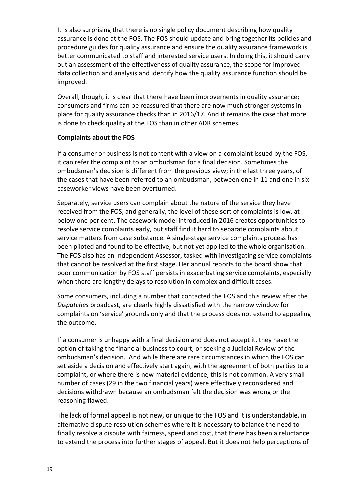It is also surprising that there is no single policy document describing how quality assurance is done at the FOS. The FOS should update and bring together its policies and procedure guides for quality assurance and ensure the quality assurance framework is better communicated to staff and interested service users. In doing this, it should carry out an assessment of the effectiveness of quality assurance, the scope for improved data collection and analysis and identify how the quality assurance function should be improved.

Overall, though, it is clear that there have been improvements in quality assurance; consumers and firms can be reassured that there are now much stronger systems in place for quality assurance checks than in 2016/17. And it remains the case that more is done to check quality at the FOS than in other ADR schemes.

## **Complaints about the FOS**

If a consumer or business is not content with a view on a complaint issued by the FOS, it can refer the complaint to an ombudsman for a final decision. Sometimes the ombudsman's decision is different from the previous view; in the last three years, of the cases that have been referred to an ombudsman, between one in 11 and one in six caseworker views have been overturned.

Separately, service users can complain about the nature of the service they have received from the FOS, and generally, the level of these sort of complaints is low, at below one per cent. The casework model introduced in 2016 creates opportunities to resolve service complaints early, but staff find it hard to separate complaints about service matters from case substance. A single-stage service complaints process has been piloted and found to be effective, but not yet applied to the whole organisation. The FOS also has an Independent Assessor, tasked with investigating service complaints that cannot be resolved at the first stage. Her annual reports to the board show that poor communication by FOS staff persists in exacerbating service complaints, especially when there are lengthy delays to resolution in complex and difficult cases.

Some consumers, including a number that contacted the FOS and this review after the *Dispatches* broadcast, are clearly highly dissatisfied with the narrow window for complaints on 'service' grounds only and that the process does not extend to appealing the outcome.

If a consumer is unhappy with a final decision and does not accept it, they have the option of taking the financial business to court, or seeking a Judicial Review of the ombudsman's decision. And while there are rare circumstances in which the FOS can set aside a decision and effectively start again, with the agreement of both parties to a complaint, or where there is new material evidence, this is not common. A very small number of cases (29 in the two financial years) were effectively reconsidered and decisions withdrawn because an ombudsman felt the decision was wrong or the reasoning flawed.

The lack of formal appeal is not new, or unique to the FOS and it is understandable, in alternative dispute resolution schemes where it is necessary to balance the need to finally resolve a dispute with fairness, speed and cost, that there has been a reluctance to extend the process into further stages of appeal. But it does not help perceptions of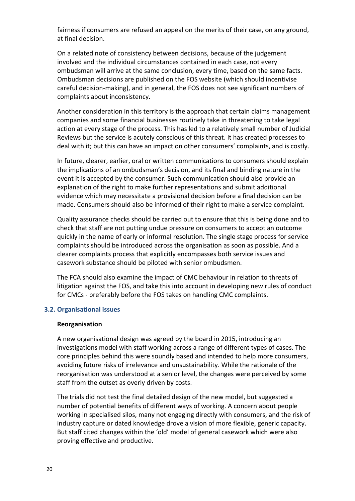fairness if consumers are refused an appeal on the merits of their case, on any ground, at final decision.

On a related note of consistency between decisions, because of the judgement involved and the individual circumstances contained in each case, not every ombudsman will arrive at the same conclusion, every time, based on the same facts. Ombudsman decisions are published on the FOS website (which should incentivise careful decision-making), and in general, the FOS does not see significant numbers of complaints about inconsistency.

Another consideration in this territory is the approach that certain claims management companies and some financial businesses routinely take in threatening to take legal action at every stage of the process. This has led to a relatively small number of Judicial Reviews but the service is acutely conscious of this threat. It has created processes to deal with it; but this can have an impact on other consumers' complaints, and is costly.

In future, clearer, earlier, oral or written communications to consumers should explain the implications of an ombudsman's decision, and its final and binding nature in the event it is accepted by the consumer. Such communication should also provide an explanation of the right to make further representations and submit additional evidence which may necessitate a provisional decision before a final decision can be made. Consumers should also be informed of their right to make a service complaint.

Quality assurance checks should be carried out to ensure that this is being done and to check that staff are not putting undue pressure on consumers to accept an outcome quickly in the name of early or informal resolution. The single stage process for service complaints should be introduced across the organisation as soon as possible. And a clearer complaints process that explicitly encompasses both service issues and casework substance should be piloted with senior ombudsmen.

The FCA should also examine the impact of CMC behaviour in relation to threats of litigation against the FOS, and take this into account in developing new rules of conduct for CMCs - preferably before the FOS takes on handling CMC complaints.

## **3.2. Organisational issues**

## **Reorganisation**

A new organisational design was agreed by the board in 2015, introducing an investigations model with staff working across a range of different types of cases. The core principles behind this were soundly based and intended to help more consumers, avoiding future risks of irrelevance and unsustainability. While the rationale of the reorganisation was understood at a senior level, the changes were perceived by some staff from the outset as overly driven by costs.

The trials did not test the final detailed design of the new model, but suggested a number of potential benefits of different ways of working. A concern about people working in specialised silos, many not engaging directly with consumers, and the risk of industry capture or dated knowledge drove a vision of more flexible, generic capacity. But staff cited changes within the 'old' model of general casework which were also proving effective and productive.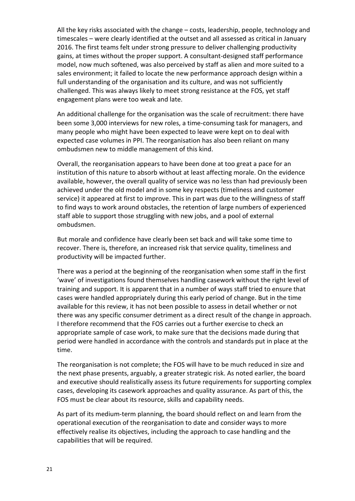All the key risks associated with the change – costs, leadership, people, technology and timescales – were clearly identified at the outset and all assessed as critical in January 2016. The first teams felt under strong pressure to deliver challenging productivity gains, at times without the proper support. A consultant-designed staff performance model, now much softened, was also perceived by staff as alien and more suited to a sales environment; it failed to locate the new performance approach design within a full understanding of the organisation and its culture, and was not sufficiently challenged. This was always likely to meet strong resistance at the FOS, yet staff engagement plans were too weak and late.

An additional challenge for the organisation was the scale of recruitment: there have been some 3,000 interviews for new roles, a time-consuming task for managers, and many people who might have been expected to leave were kept on to deal with expected case volumes in PPI. The reorganisation has also been reliant on many ombudsmen new to middle management of this kind.

Overall, the reorganisation appears to have been done at too great a pace for an institution of this nature to absorb without at least affecting morale. On the evidence available, however, the overall quality of service was no less than had previously been achieved under the old model and in some key respects (timeliness and customer service) it appeared at first to improve. This in part was due to the willingness of staff to find ways to work around obstacles, the retention of large numbers of experienced staff able to support those struggling with new jobs, and a pool of external ombudsmen.

But morale and confidence have clearly been set back and will take some time to recover. There is, therefore, an increased risk that service quality, timeliness and productivity will be impacted further.

There was a period at the beginning of the reorganisation when some staff in the first 'wave' of investigations found themselves handling casework without the right level of training and support. It is apparent that in a number of ways staff tried to ensure that cases were handled appropriately during this early period of change. But in the time available for this review, it has not been possible to assess in detail whether or not there was any specific consumer detriment as a direct result of the change in approach. I therefore recommend that the FOS carries out a further exercise to check an appropriate sample of case work, to make sure that the decisions made during that period were handled in accordance with the controls and standards put in place at the time.

The reorganisation is not complete; the FOS will have to be much reduced in size and the next phase presents, arguably, a greater strategic risk. As noted earlier, the board and executive should realistically assess its future requirements for supporting complex cases, developing its casework approaches and quality assurance. As part of this, the FOS must be clear about its resource, skills and capability needs.

As part of its medium-term planning, the board should reflect on and learn from the operational execution of the reorganisation to date and consider ways to more effectively realise its objectives, including the approach to case handling and the capabilities that will be required.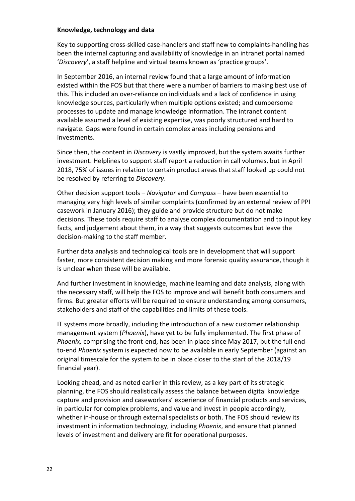#### **Knowledge, technology and data**

Key to supporting cross-skilled case-handlers and staff new to complaints-handling has been the internal capturing and availability of knowledge in an intranet portal named '*Discovery*', a staff helpline and virtual teams known as 'practice groups'.

In September 2016, an internal review found that a large amount of information existed within the FOS but that there were a number of barriers to making best use of this. This included an over-reliance on individuals and a lack of confidence in using knowledge sources, particularly when multiple options existed; and cumbersome processes to update and manage knowledge information. The intranet content available assumed a level of existing expertise, was poorly structured and hard to navigate. Gaps were found in certain complex areas including pensions and investments.

Since then, the content in *Discovery* is vastly improved, but the system awaits further investment. Helplines to support staff report a reduction in call volumes, but in April 2018, 75% of issues in relation to certain product areas that staff looked up could not be resolved by referring to *Discovery*.

Other decision support tools – *Navigator* and *Compass* – have been essential to managing very high levels of similar complaints (confirmed by an external review of PPI casework in January 2016); they guide and provide structure but do not make decisions. These tools require staff to analyse complex documentation and to input key facts, and judgement about them, in a way that suggests outcomes but leave the decision-making to the staff member.

Further data analysis and technological tools are in development that will support faster, more consistent decision making and more forensic quality assurance, though it is unclear when these will be available.

And further investment in knowledge, machine learning and data analysis, along with the necessary staff, will help the FOS to improve and will benefit both consumers and firms. But greater efforts will be required to ensure understanding among consumers, stakeholders and staff of the capabilities and limits of these tools.

IT systems more broadly, including the introduction of a new customer relationship management system (*Phoenix*), have yet to be fully implemented. The first phase of *Phoenix,* comprising the front-end, has been in place since May 2017, but the full endto-end *Phoenix* system is expected now to be available in early September (against an original timescale for the system to be in place closer to the start of the 2018/19 financial year).

Looking ahead, and as noted earlier in this review, as a key part of its strategic planning, the FOS should realistically assess the balance between digital knowledge capture and provision and caseworkers' experience of financial products and services, in particular for complex problems, and value and invest in people accordingly, whether in-house or through external specialists or both. The FOS should review its investment in information technology, including *Phoenix*, and ensure that planned levels of investment and delivery are fit for operational purposes.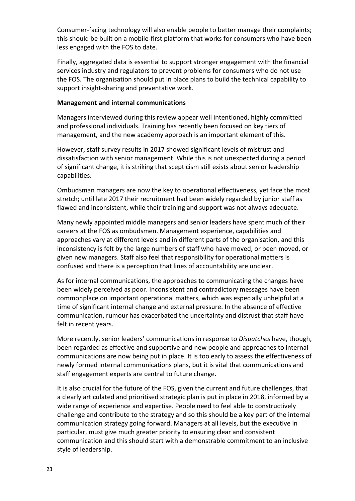Consumer-facing technology will also enable people to better manage their complaints; this should be built on a mobile-first platform that works for consumers who have been less engaged with the FOS to date.

Finally, aggregated data is essential to support stronger engagement with the financial services industry and regulators to prevent problems for consumers who do not use the FOS. The organisation should put in place plans to build the technical capability to support insight-sharing and preventative work.

## **Management and internal communications**

Managers interviewed during this review appear well intentioned, highly committed and professional individuals. Training has recently been focused on key tiers of management, and the new academy approach is an important element of this.

However, staff survey results in 2017 showed significant levels of mistrust and dissatisfaction with senior management. While this is not unexpected during a period of significant change, it is striking that scepticism still exists about senior leadership capabilities.

Ombudsman managers are now the key to operational effectiveness, yet face the most stretch; until late 2017 their recruitment had been widely regarded by junior staff as flawed and inconsistent, while their training and support was not always adequate.

Many newly appointed middle managers and senior leaders have spent much of their careers at the FOS as ombudsmen. Management experience, capabilities and approaches vary at different levels and in different parts of the organisation, and this inconsistency is felt by the large numbers of staff who have moved, or been moved, or given new managers. Staff also feel that responsibility for operational matters is confused and there is a perception that lines of accountability are unclear.

As for internal communications, the approaches to communicating the changes have been widely perceived as poor. Inconsistent and contradictory messages have been commonplace on important operational matters, which was especially unhelpful at a time of significant internal change and external pressure. In the absence of effective communication, rumour has exacerbated the uncertainty and distrust that staff have felt in recent years.

More recently, senior leaders' communications in response to *Dispatches* have, though, been regarded as effective and supportive and new people and approaches to internal communications are now being put in place. It is too early to assess the effectiveness of newly formed internal communications plans, but it is vital that communications and staff engagement experts are central to future change.

It is also crucial for the future of the FOS, given the current and future challenges, that a clearly articulated and prioritised strategic plan is put in place in 2018, informed by a wide range of experience and expertise. People need to feel able to constructively challenge and contribute to the strategy and so this should be a key part of the internal communication strategy going forward. Managers at all levels, but the executive in particular, must give much greater priority to ensuring clear and consistent communication and this should start with a demonstrable commitment to an inclusive style of leadership.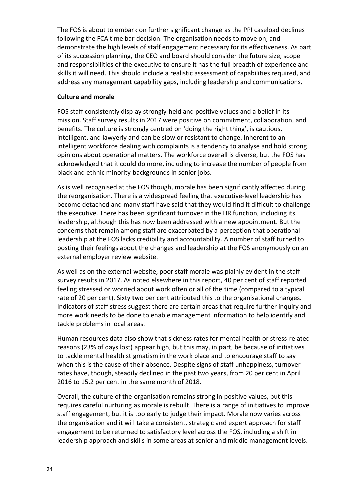The FOS is about to embark on further significant change as the PPI caseload declines following the FCA time bar decision. The organisation needs to move on, and demonstrate the high levels of staff engagement necessary for its effectiveness. As part of its succession planning, the CEO and board should consider the future size, scope and responsibilities of the executive to ensure it has the full breadth of experience and skills it will need. This should include a realistic assessment of capabilities required, and address any management capability gaps, including leadership and communications.

## **Culture and morale**

FOS staff consistently display strongly-held and positive values and a belief in its mission. Staff survey results in 2017 were positive on commitment, collaboration, and benefits. The culture is strongly centred on 'doing the right thing', is cautious, intelligent, and lawyerly and can be slow or resistant to change. Inherent to an intelligent workforce dealing with complaints is a tendency to analyse and hold strong opinions about operational matters. The workforce overall is diverse, but the FOS has acknowledged that it could do more, including to increase the number of people from black and ethnic minority backgrounds in senior jobs.

As is well recognised at the FOS though, morale has been significantly affected during the reorganisation. There is a widespread feeling that executive-level leadership has become detached and many staff have said that they would find it difficult to challenge the executive. There has been significant turnover in the HR function, including its leadership, although this has now been addressed with a new appointment. But the concerns that remain among staff are exacerbated by a perception that operational leadership at the FOS lacks credibility and accountability. A number of staff turned to posting their feelings about the changes and leadership at the FOS anonymously on an external employer review website.

As well as on the external website, poor staff morale was plainly evident in the staff survey results in 2017. As noted elsewhere in this report, 40 per cent of staff reported feeling stressed or worried about work often or all of the time (compared to a typical rate of 20 per cent). Sixty two per cent attributed this to the organisational changes. Indicators of staff stress suggest there are certain areas that require further inquiry and more work needs to be done to enable management information to help identify and tackle problems in local areas.

Human resources data also show that sickness rates for mental health or stress-related reasons (23% of days lost) appear high, but this may, in part, be because of initiatives to tackle mental health stigmatism in the work place and to encourage staff to say when this is the cause of their absence. Despite signs of staff unhappiness, turnover rates have, though, steadily declined in the past two years, from 20 per cent in April 2016 to 15.2 per cent in the same month of 2018.

Overall, the culture of the organisation remains strong in positive values, but this requires careful nurturing as morale is rebuilt. There is a range of initiatives to improve staff engagement, but it is too early to judge their impact. Morale now varies across the organisation and it will take a consistent, strategic and expert approach for staff engagement to be returned to satisfactory level across the FOS, including a shift in leadership approach and skills in some areas at senior and middle management levels.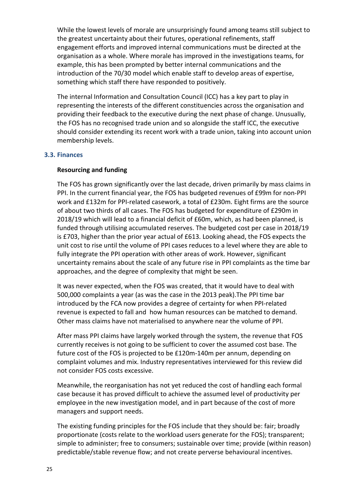While the lowest levels of morale are unsurprisingly found among teams still subject to the greatest uncertainty about their futures, operational refinements, staff engagement efforts and improved internal communications must be directed at the organisation as a whole. Where morale has improved in the investigations teams, for example, this has been prompted by better internal communications and the introduction of the 70/30 model which enable staff to develop areas of expertise, something which staff there have responded to positively.

The internal Information and Consultation Council (ICC) has a key part to play in representing the interests of the different constituencies across the organisation and providing their feedback to the executive during the next phase of change. Unusually, the FOS has no recognised trade union and so alongside the staff ICC, the executive should consider extending its recent work with a trade union, taking into account union membership levels.

#### **3.3. Finances**

#### **Resourcing and funding**

The FOS has grown significantly over the last decade, driven primarily by mass claims in PPI. In the current financial year, the FOS has budgeted revenues of £99m for non-PPI work and £132m for PPI-related casework, a total of £230m. Eight firms are the source of about two thirds of all cases. The FOS has budgeted for expenditure of £290m in 2018/19 which will lead to a financial deficit of £60m, which, as had been planned, is funded through utilising accumulated reserves. The budgeted cost per case in 2018/19 is £703, higher than the prior year actual of £613. Looking ahead, the FOS expects the unit cost to rise until the volume of PPI cases reduces to a level where they are able to fully integrate the PPI operation with other areas of work. However, significant uncertainty remains about the scale of any future rise in PPI complaints as the time bar approaches, and the degree of complexity that might be seen.

It was never expected, when the FOS was created, that it would have to deal with 500,000 complaints a year (as was the case in the 2013 peak).The PPI time bar introduced by the FCA now provides a degree of certainty for when PPI-related revenue is expected to fall and how human resources can be matched to demand. Other mass claims have not materialised to anywhere near the volume of PPI.

After mass PPI claims have largely worked through the system, the revenue that FOS currently receives is not going to be sufficient to cover the assumed cost base. The future cost of the FOS is projected to be £120m-140m per annum, depending on complaint volumes and mix. Industry representatives interviewed for this review did not consider FOS costs excessive.

Meanwhile, the reorganisation has not yet reduced the cost of handling each formal case because it has proved difficult to achieve the assumed level of productivity per employee in the new investigation model, and in part because of the cost of more managers and support needs.

The existing funding principles for the FOS include that they should be: fair; broadly proportionate (costs relate to the workload users generate for the FOS); transparent; simple to administer; free to consumers; sustainable over time; provide (within reason) predictable/stable revenue flow; and not create perverse behavioural incentives.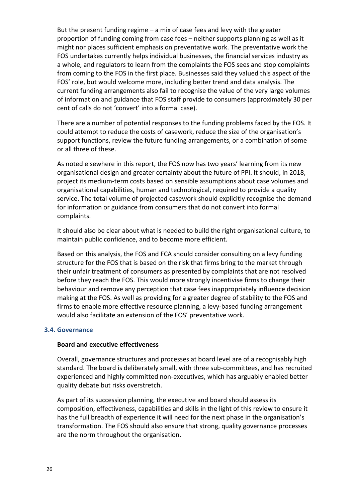But the present funding regime – a mix of case fees and levy with the greater proportion of funding coming from case fees – neither supports planning as well as it might nor places sufficient emphasis on preventative work. The preventative work the FOS undertakes currently helps individual businesses, the financial services industry as a whole, and regulators to learn from the complaints the FOS sees and stop complaints from coming to the FOS in the first place. Businesses said they valued this aspect of the FOS' role, but would welcome more, including better trend and data analysis. The current funding arrangements also fail to recognise the value of the very large volumes of information and guidance that FOS staff provide to consumers (approximately 30 per cent of calls do not 'convert' into a formal case).

There are a number of potential responses to the funding problems faced by the FOS. It could attempt to reduce the costs of casework, reduce the size of the organisation's support functions, review the future funding arrangements, or a combination of some or all three of these.

As noted elsewhere in this report, the FOS now has two years' learning from its new organisational design and greater certainty about the future of PPI. It should, in 2018, project its medium-term costs based on sensible assumptions about case volumes and organisational capabilities, human and technological, required to provide a quality service. The total volume of projected casework should explicitly recognise the demand for information or guidance from consumers that do not convert into formal complaints.

It should also be clear about what is needed to build the right organisational culture, to maintain public confidence, and to become more efficient.

Based on this analysis, the FOS and FCA should consider consulting on a levy funding structure for the FOS that is based on the risk that firms bring to the market through their unfair treatment of consumers as presented by complaints that are not resolved before they reach the FOS. This would more strongly incentivise firms to change their behaviour and remove any perception that case fees inappropriately influence decision making at the FOS. As well as providing for a greater degree of stability to the FOS and firms to enable more effective resource planning, a levy-based funding arrangement would also facilitate an extension of the FOS' preventative work.

## **3.4. Governance**

#### **Board and executive effectiveness**

Overall, governance structures and processes at board level are of a recognisably high standard. The board is deliberately small, with three sub-committees, and has recruited experienced and highly committed non-executives, which has arguably enabled better quality debate but risks overstretch.

As part of its succession planning, the executive and board should assess its composition, effectiveness, capabilities and skills in the light of this review to ensure it has the full breadth of experience it will need for the next phase in the organisation's transformation. The FOS should also ensure that strong, quality governance processes are the norm throughout the organisation.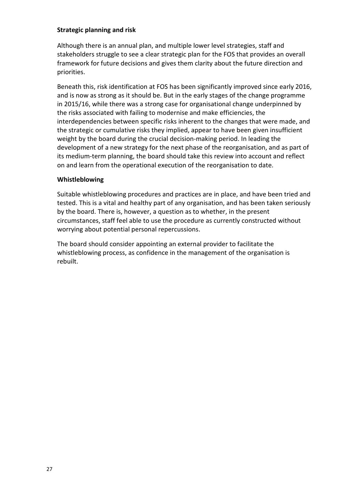## **Strategic planning and risk**

Although there is an annual plan, and multiple lower level strategies, staff and stakeholders struggle to see a clear strategic plan for the FOS that provides an overall framework for future decisions and gives them clarity about the future direction and priorities.

Beneath this, risk identification at FOS has been significantly improved since early 2016, and is now as strong as it should be. But in the early stages of the change programme in 2015/16, while there was a strong case for organisational change underpinned by the risks associated with failing to modernise and make efficiencies, the interdependencies between specific risks inherent to the changes that were made, and the strategic or cumulative risks they implied, appear to have been given insufficient weight by the board during the crucial decision-making period. In leading the development of a new strategy for the next phase of the reorganisation, and as part of its medium-term planning, the board should take this review into account and reflect on and learn from the operational execution of the reorganisation to date.

## **Whistleblowing**

Suitable whistleblowing procedures and practices are in place, and have been tried and tested. This is a vital and healthy part of any organisation, and has been taken seriously by the board. There is, however, a question as to whether, in the present circumstances, staff feel able to use the procedure as currently constructed without worrying about potential personal repercussions.

The board should consider appointing an external provider to facilitate the whistleblowing process, as confidence in the management of the organisation is rebuilt.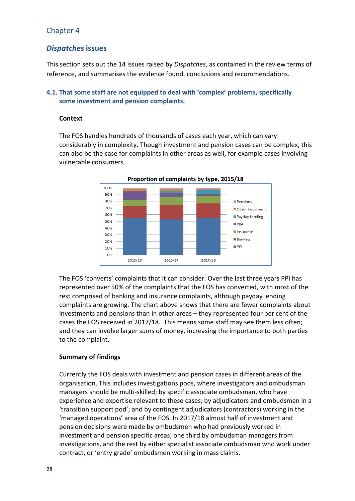# Chapter 4

# *Dispatches* **issues**

This section sets out the 14 issues raised by *Dispatches*, as contained in the review terms of reference, and summarises the evidence found, conclusions and recommendations.

## **4.1. That some staff are not equipped to deal with 'complex' problems, specifically some investment and pension complaints.**

## **Context**

The FOS handles hundreds of thousands of cases each year, which can vary considerably in complexity. Though investment and pension cases can be complex, this can also be the case for complaints in other areas as well, for example cases involving vulnerable consumers.



The FOS 'converts' complaints that it can consider. Over the last three years PPI has represented over 50% of the complaints that the FOS has converted, with most of the rest comprised of banking and insurance complaints, although payday lending complaints are growing. The chart above shows that there are fewer complaints about investments and pensions than in other areas – they represented four per cent of the cases the FOS received in 2017/18. This means some staff may see them less often; and they can involve larger sums of money, increasing the importance to both parties to the complaint.

## **Summary of findings**

Currently the FOS deals with investment and pension cases in different areas of the organisation. This includes investigations pods, where investigators and ombudsman managers should be multi-skilled; by specific associate ombudsman, who have experience and expertise relevant to these cases; by adjudicators and ombudsmen in a 'transition support pod'; and by contingent adjudicators (contractors) working in the 'managed operations' area of the FOS. In 2017/18 almost half of investment and pension decisions were made by ombudsmen who had previously worked in investment and pension specific areas; one third by ombudsman managers from investigations, and the rest by either specialist associate ombudsman who work under contract, or 'entry grade' ombudsmen working in mass claims.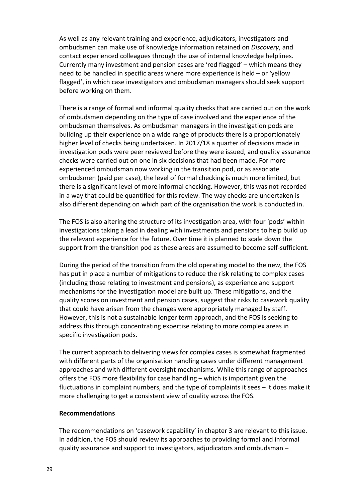As well as any relevant training and experience, adjudicators, investigators and ombudsmen can make use of knowledge information retained on *Discovery*, and contact experienced colleagues through the use of internal knowledge helplines. Currently many investment and pension cases are 'red flagged' – which means they need to be handled in specific areas where more experience is held – or 'yellow flagged', in which case investigators and ombudsman managers should seek support before working on them.

There is a range of formal and informal quality checks that are carried out on the work of ombudsmen depending on the type of case involved and the experience of the ombudsman themselves. As ombudsman managers in the investigation pods are building up their experience on a wide range of products there is a proportionately higher level of checks being undertaken. In 2017/18 a quarter of decisions made in investigation pods were peer reviewed before they were issued, and quality assurance checks were carried out on one in six decisions that had been made. For more experienced ombudsman now working in the transition pod, or as associate ombudsmen (paid per case), the level of formal checking is much more limited, but there is a significant level of more informal checking. However, this was not recorded in a way that could be quantified for this review. The way checks are undertaken is also different depending on which part of the organisation the work is conducted in.

The FOS is also altering the structure of its investigation area, with four 'pods' within investigations taking a lead in dealing with investments and pensions to help build up the relevant experience for the future. Over time it is planned to scale down the support from the transition pod as these areas are assumed to become self-sufficient.

During the period of the transition from the old operating model to the new, the FOS has put in place a number of mitigations to reduce the risk relating to complex cases (including those relating to investment and pensions), as experience and support mechanisms for the investigation model are built up. These mitigations, and the quality scores on investment and pension cases, suggest that risks to casework quality that could have arisen from the changes were appropriately managed by staff. However, this is not a sustainable longer term approach, and the FOS is seeking to address this through concentrating expertise relating to more complex areas in specific investigation pods.

The current approach to delivering views for complex cases is somewhat fragmented with different parts of the organisation handling cases under different management approaches and with different oversight mechanisms. While this range of approaches offers the FOS more flexibility for case handling – which is important given the fluctuations in complaint numbers, and the type of complaints it sees – it does make it more challenging to get a consistent view of quality across the FOS.

#### **Recommendations**

The recommendations on 'casework capability' in chapter 3 are relevant to this issue. In addition, the FOS should review its approaches to providing formal and informal quality assurance and support to investigators, adjudicators and ombudsman –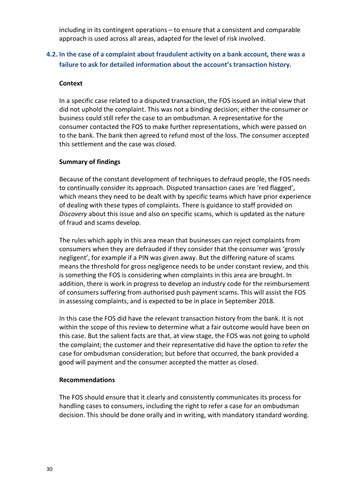including in its contingent operations – to ensure that a consistent and comparable approach is used across all areas, adapted for the level of risk involved.

# **4.2. In the case of a complaint about fraudulent activity on a bank account, there was a failure to ask for detailed information about the account's transaction history.**

## **Context**

In a specific case related to a disputed transaction, the FOS issued an initial view that did not uphold the complaint. This was not a binding decision; either the consumer or business could still refer the case to an ombudsman. A representative for the consumer contacted the FOS to make further representations, which were passed on to the bank. The bank then agreed to refund most of the loss. The consumer accepted this settlement and the case was closed.

## **Summary of findings**

Because of the constant development of techniques to defraud people, the FOS needs to continually consider its approach. Disputed transaction cases are 'red flagged', which means they need to be dealt with by specific teams which have prior experience of dealing with these types of complaints. There is guidance to staff provided on *Discovery* about this issue and also on specific scams, which is updated as the nature of fraud and scams develop.

The rules which apply in this area mean that businesses can reject complaints from consumers when they are defrauded if they consider that the consumer was 'grossly negligent', for example if a PIN was given away. But the differing nature of scams means the threshold for gross negligence needs to be under constant review, and this is something the FOS is considering when complaints in this area are brought. In addition, there is work in progress to develop an industry code for the reimbursement of consumers suffering from authorised push payment scams. This will assist the FOS in assessing complaints, and is expected to be in place in September 2018.

In this case the FOS did have the relevant transaction history from the bank. It is not within the scope of this review to determine what a fair outcome would have been on this case. But the salient facts are that, at view stage, the FOS was not going to uphold the complaint; the customer and their representative did have the option to refer the case for ombudsman consideration; but before that occurred, the bank provided a good will payment and the consumer accepted the matter as closed.

## **Recommendations**

The FOS should ensure that it clearly and consistently communicates its process for handling cases to consumers, including the right to refer a case for an ombudsman decision. This should be done orally and in writing, with mandatory standard wording.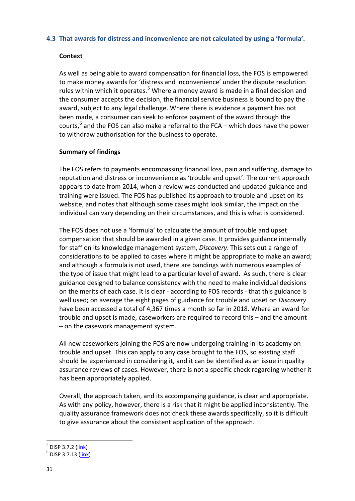## **4.3 That awards for distress and inconvenience are not calculated by using a 'formula'.**

## **Context**

As well as being able to award compensation for financial loss, the FOS is empowered to make money awards for 'distress and inconvenience' under the dispute resolution rules within which it operates.<sup>[5](#page-31-0)</sup> Where a money award is made in a final decision and the consumer accepts the decision, the financial service business is bound to pay the award, subject to any legal challenge. Where there is evidence a payment has not been made, a consumer can seek to enforce payment of the award through the courts, $^6$  $^6$  and the FOS can also make a referral to the FCA – which does have the power to withdraw authorisation for the business to operate.

## **Summary of findings**

The FOS refers to payments encompassing financial loss, pain and suffering, damage to reputation and distress or inconvenience as 'trouble and upset'. The current approach appears to date from 2014, when a review was conducted and updated guidance and training were issued. The FOS has published its approach to trouble and upset on its website, and notes that although some cases might look similar, the impact on the individual can vary depending on their circumstances, and this is what is considered.

The FOS does not use a 'formula' to calculate the amount of trouble and upset compensation that should be awarded in a given case. It provides guidance internally for staff on its knowledge management system, *Discovery*. This sets out a range of considerations to be applied to cases where it might be appropriate to make an award; and although a formula is not used, there are bandings with numerous examples of the type of issue that might lead to a particular level of award. As such, there is clear guidance designed to balance consistency with the need to make individual decisions on the merits of each case. It is clear - according to FOS records - that this guidance is well used; on average the eight pages of guidance for trouble and upset on *Discovery* have been accessed a total of 4,367 times a month so far in 2018. Where an award for trouble and upset is made, caseworkers are required to record this – and the amount – on the casework management system.

All new caseworkers joining the FOS are now undergoing training in its academy on trouble and upset. This can apply to any case brought to the FOS, so existing staff should be experienced in considering it, and it can be identified as an issue in quality assurance reviews of cases. However, there is not a specific check regarding whether it has been appropriately applied.

Overall, the approach taken, and its accompanying guidance, is clear and appropriate. As with any policy, however, there is a risk that it might be applied inconsistently. The quality assurance framework does not check these awards specifically, so it is difficult to give assurance about the consistent application of the approach.

<span id="page-31-1"></span><span id="page-31-0"></span> $^5$  DISP 3.7.2 (<u>link)</u><br> $^6$  DISP 3.7.13 [\(link\)](https://www.handbook.fca.org.uk/handbook/DISP/3/7.html)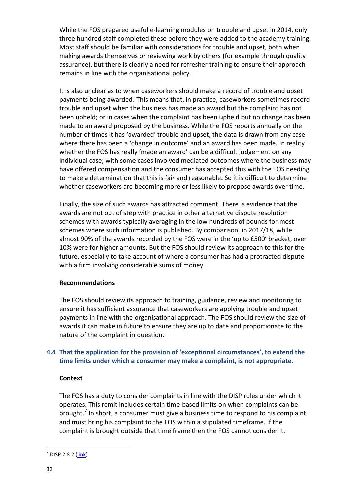While the FOS prepared useful e-learning modules on trouble and upset in 2014, only three hundred staff completed these before they were added to the academy training. Most staff should be familiar with considerations for trouble and upset, both when making awards themselves or reviewing work by others (for example through quality assurance), but there is clearly a need for refresher training to ensure their approach remains in line with the organisational policy.

It is also unclear as to when caseworkers should make a record of trouble and upset payments being awarded. This means that, in practice, caseworkers sometimes record trouble and upset when the business has made an award but the complaint has not been upheld; or in cases when the complaint has been upheld but no change has been made to an award proposed by the business. While the FOS reports annually on the number of times it has 'awarded' trouble and upset, the data is drawn from any case where there has been a 'change in outcome' and an award has been made. In reality whether the FOS has really 'made an award' can be a difficult judgement on any individual case; with some cases involved mediated outcomes where the business may have offered compensation and the consumer has accepted this with the FOS needing to make a determination that this is fair and reasonable. So it is difficult to determine whether caseworkers are becoming more or less likely to propose awards over time.

Finally, the size of such awards has attracted comment. There is evidence that the awards are not out of step with practice in other alternative dispute resolution schemes with awards typically averaging in the low hundreds of pounds for most schemes where such information is published. By comparison, in 2017/18, while almost 90% of the awards recorded by the FOS were in the 'up to £500' bracket, over 10% were for higher amounts. But the FOS should review its approach to this for the future, especially to take account of where a consumer has had a protracted dispute with a firm involving considerable sums of money.

## **Recommendations**

The FOS should review its approach to training, guidance, review and monitoring to ensure it has sufficient assurance that caseworkers are applying trouble and upset payments in line with the organisational approach. The FOS should review the size of awards it can make in future to ensure they are up to date and proportionate to the nature of the complaint in question.

## **4.4 That the application for the provision of 'exceptional circumstances', to extend the time limits under which a consumer may make a complaint, is not appropriate.**

## **Context**

The FOS has a duty to consider complaints in line with the DISP rules under which it operates. This remit includes certain time-based limits on when complaints can be brought.<sup>[7](#page-32-0)</sup> In short, a consumer must give a business time to respond to his complaint and must bring his complaint to the FOS within a stipulated timeframe. If the complaint is brought outside that time frame then the FOS cannot consider it.

<span id="page-32-0"></span> $<sup>7</sup>$  DISP 2.8.2 [\(link\)](https://www.handbook.fca.org.uk/handbook/DISP/2/8.html)</sup>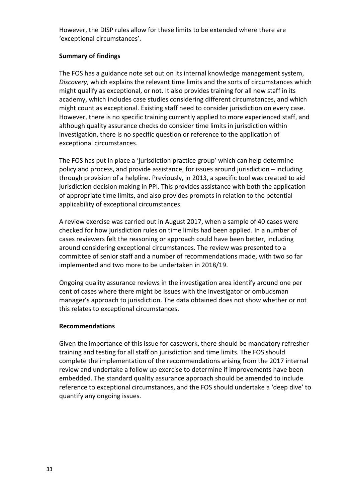However, the DISP rules allow for these limits to be extended where there are 'exceptional circumstances'.

## **Summary of findings**

The FOS has a guidance note set out on its internal knowledge management system, *Discovery*, which explains the relevant time limits and the sorts of circumstances which might qualify as exceptional, or not. It also provides training for all new staff in its academy, which includes case studies considering different circumstances, and which might count as exceptional. Existing staff need to consider jurisdiction on every case. However, there is no specific training currently applied to more experienced staff, and although quality assurance checks do consider time limits in jurisdiction within investigation, there is no specific question or reference to the application of exceptional circumstances.

The FOS has put in place a 'jurisdiction practice group' which can help determine policy and process, and provide assistance, for issues around jurisdiction – including through provision of a helpline. Previously, in 2013, a specific tool was created to aid jurisdiction decision making in PPI. This provides assistance with both the application of appropriate time limits, and also provides prompts in relation to the potential applicability of exceptional circumstances.

A review exercise was carried out in August 2017, when a sample of 40 cases were checked for how jurisdiction rules on time limits had been applied. In a number of cases reviewers felt the reasoning or approach could have been better, including around considering exceptional circumstances. The review was presented to a committee of senior staff and a number of recommendations made, with two so far implemented and two more to be undertaken in 2018/19.

Ongoing quality assurance reviews in the investigation area identify around one per cent of cases where there might be issues with the investigator or ombudsman manager's approach to jurisdiction. The data obtained does not show whether or not this relates to exceptional circumstances.

## **Recommendations**

Given the importance of this issue for casework, there should be mandatory refresher training and testing for all staff on jurisdiction and time limits. The FOS should complete the implementation of the recommendations arising from the 2017 internal review and undertake a follow up exercise to determine if improvements have been embedded. The standard quality assurance approach should be amended to include reference to exceptional circumstances, and the FOS should undertake a 'deep dive' to quantify any ongoing issues.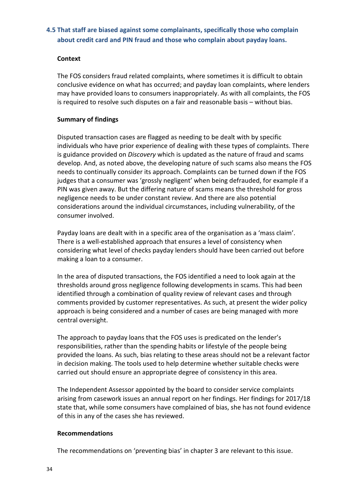## **4.5 That staff are biased against some complainants, specifically those who complain about credit card and PIN fraud and those who complain about payday loans.**

## **Context**

The FOS considers fraud related complaints, where sometimes it is difficult to obtain conclusive evidence on what has occurred; and payday loan complaints, where lenders may have provided loans to consumers inappropriately. As with all complaints, the FOS is required to resolve such disputes on a fair and reasonable basis – without bias.

## **Summary of findings**

Disputed transaction cases are flagged as needing to be dealt with by specific individuals who have prior experience of dealing with these types of complaints. There is guidance provided on *Discovery* which is updated as the nature of fraud and scams develop. And, as noted above, the developing nature of such scams also means the FOS needs to continually consider its approach. Complaints can be turned down if the FOS judges that a consumer was 'grossly negligent' when being defrauded, for example if a PIN was given away. But the differing nature of scams means the threshold for gross negligence needs to be under constant review. And there are also potential considerations around the individual circumstances, including vulnerability, of the consumer involved.

Payday loans are dealt with in a specific area of the organisation as a 'mass claim'. There is a well-established approach that ensures a level of consistency when considering what level of checks payday lenders should have been carried out before making a loan to a consumer.

In the area of disputed transactions, the FOS identified a need to look again at the thresholds around gross negligence following developments in scams. This had been identified through a combination of quality review of relevant cases and through comments provided by customer representatives. As such, at present the wider policy approach is being considered and a number of cases are being managed with more central oversight.

The approach to payday loans that the FOS uses is predicated on the lender's responsibilities, rather than the spending habits or lifestyle of the people being provided the loans. As such, bias relating to these areas should not be a relevant factor in decision making. The tools used to help determine whether suitable checks were carried out should ensure an appropriate degree of consistency in this area.

The Independent Assessor appointed by the board to consider service complaints arising from casework issues an annual report on her findings. Her findings for 2017/18 state that, while some consumers have complained of bias, she has not found evidence of this in any of the cases she has reviewed.

## **Recommendations**

The recommendations on 'preventing bias' in chapter 3 are relevant to this issue.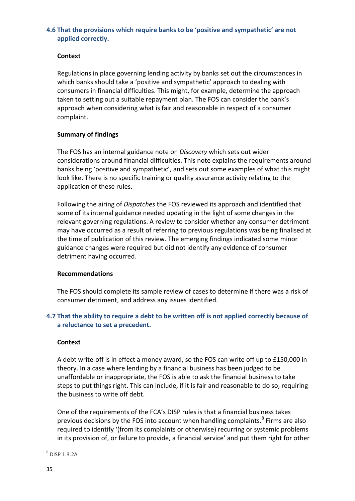## **4.6 That the provisions which require banks to be 'positive and sympathetic' are not applied correctly.**

## **Context**

Regulations in place governing lending activity by banks set out the circumstances in which banks should take a 'positive and sympathetic' approach to dealing with consumers in financial difficulties. This might, for example, determine the approach taken to setting out a suitable repayment plan. The FOS can consider the bank's approach when considering what is fair and reasonable in respect of a consumer complaint.

## **Summary of findings**

The FOS has an internal guidance note on *Discovery* which sets out wider considerations around financial difficulties. This note explains the requirements around banks being 'positive and sympathetic', and sets out some examples of what this might look like. There is no specific training or quality assurance activity relating to the application of these rules.

Following the airing of *Dispatches* the FOS reviewed its approach and identified that some of its internal guidance needed updating in the light of some changes in the relevant governing regulations. A review to consider whether any consumer detriment may have occurred as a result of referring to previous regulations was being finalised at the time of publication of this review. The emerging findings indicated some minor guidance changes were required but did not identify any evidence of consumer detriment having occurred.

## **Recommendations**

The FOS should complete its sample review of cases to determine if there was a risk of consumer detriment, and address any issues identified.

## **4.7 That the ability to require a debt to be written off is not applied correctly because of a reluctance to set a precedent.**

## **Context**

A debt write-off is in effect a money award, so the FOS can write off up to £150,000 in theory. In a case where lending by a financial business has been judged to be unaffordable or inappropriate, the FOS is able to ask the financial business to take steps to put things right. This can include, if it is fair and reasonable to do so, requiring the business to write off debt.

One of the requirements of the FCA's DISP rules is that a financial business takes previous decisions by the FOS into account when handling complaints.<sup>[8](#page-35-0)</sup> Firms are also required to identify '(from its complaints or otherwise) recurring or systemic problems in its provision of, or failure to provide, a financial service' and put them right for other

<span id="page-35-0"></span> <sup>8</sup> DISP 1.3.2A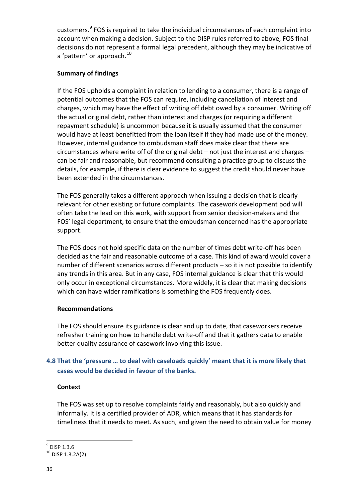customers.<sup>[9](#page-36-0)</sup> FOS is required to take the individual circumstances of each complaint into account when making a decision. Subject to the DISP rules referred to above, FOS final decisions do not represent a formal legal precedent, although they may be indicative of a 'pattern' or approach.<sup>[10](#page-36-1)</sup>

## **Summary of findings**

If the FOS upholds a complaint in relation to lending to a consumer, there is a range of potential outcomes that the FOS can require, including cancellation of interest and charges, which may have the effect of writing off debt owed by a consumer. Writing off the actual original debt, rather than interest and charges (or requiring a different repayment schedule) is uncommon because it is usually assumed that the consumer would have at least benefitted from the loan itself if they had made use of the money. However, internal guidance to ombudsman staff does make clear that there are circumstances where write off of the original debt – not just the interest and charges – can be fair and reasonable, but recommend consulting a practice group to discuss the details, for example, if there is clear evidence to suggest the credit should never have been extended in the circumstances.

The FOS generally takes a different approach when issuing a decision that is clearly relevant for other existing or future complaints. The casework development pod will often take the lead on this work, with support from senior decision-makers and the FOS' legal department, to ensure that the ombudsman concerned has the appropriate support.

The FOS does not hold specific data on the number of times debt write-off has been decided as the fair and reasonable outcome of a case. This kind of award would cover a number of different scenarios across different products – so it is not possible to identify any trends in this area. But in any case, FOS internal guidance is clear that this would only occur in exceptional circumstances. More widely, it is clear that making decisions which can have wider ramifications is something the FOS frequently does.

## **Recommendations**

The FOS should ensure its guidance is clear and up to date, that caseworkers receive refresher training on how to handle debt write-off and that it gathers data to enable better quality assurance of casework involving this issue.

# **4.8 That the 'pressure … to deal with caseloads quickly' meant that it is more likely that cases would be decided in favour of the banks.**

## **Context**

The FOS was set up to resolve complaints fairly and reasonably, but also quickly and informally. It is a certified provider of ADR, which means that it has standards for timeliness that it needs to meet. As such, and given the need to obtain value for money

<span id="page-36-0"></span> <sup>9</sup> DISP 1.3.6

<span id="page-36-1"></span> $10$  DISP 1.3.2A(2)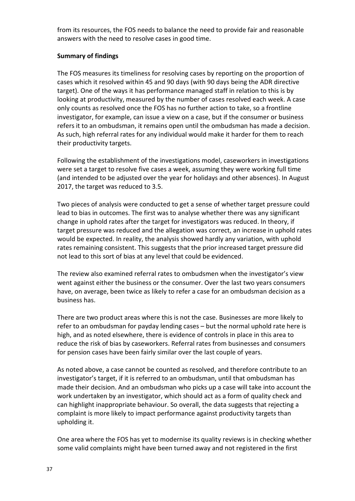from its resources, the FOS needs to balance the need to provide fair and reasonable answers with the need to resolve cases in good time.

## **Summary of findings**

The FOS measures its timeliness for resolving cases by reporting on the proportion of cases which it resolved within 45 and 90 days (with 90 days being the ADR directive target). One of the ways it has performance managed staff in relation to this is by looking at productivity, measured by the number of cases resolved each week. A case only counts as resolved once the FOS has no further action to take, so a frontline investigator, for example, can issue a view on a case, but if the consumer or business refers it to an ombudsman, it remains open until the ombudsman has made a decision. As such, high referral rates for any individual would make it harder for them to reach their productivity targets.

Following the establishment of the investigations model, caseworkers in investigations were set a target to resolve five cases a week, assuming they were working full time (and intended to be adjusted over the year for holidays and other absences). In August 2017, the target was reduced to 3.5.

Two pieces of analysis were conducted to get a sense of whether target pressure could lead to bias in outcomes. The first was to analyse whether there was any significant change in uphold rates after the target for investigators was reduced. In theory, if target pressure was reduced and the allegation was correct, an increase in uphold rates would be expected. In reality, the analysis showed hardly any variation, with uphold rates remaining consistent. This suggests that the prior increased target pressure did not lead to this sort of bias at any level that could be evidenced.

The review also examined referral rates to ombudsmen when the investigator's view went against either the business or the consumer. Over the last two years consumers have, on average, been twice as likely to refer a case for an ombudsman decision as a business has.

There are two product areas where this is not the case. Businesses are more likely to refer to an ombudsman for payday lending cases – but the normal uphold rate here is high, and as noted elsewhere, there is evidence of controls in place in this area to reduce the risk of bias by caseworkers. Referral rates from businesses and consumers for pension cases have been fairly similar over the last couple of years.

As noted above, a case cannot be counted as resolved, and therefore contribute to an investigator's target, if it is referred to an ombudsman, until that ombudsman has made their decision. And an ombudsman who picks up a case will take into account the work undertaken by an investigator, which should act as a form of quality check and can highlight inappropriate behaviour. So overall, the data suggests that rejecting a complaint is more likely to impact performance against productivity targets than upholding it.

One area where the FOS has yet to modernise its quality reviews is in checking whether some valid complaints might have been turned away and not registered in the first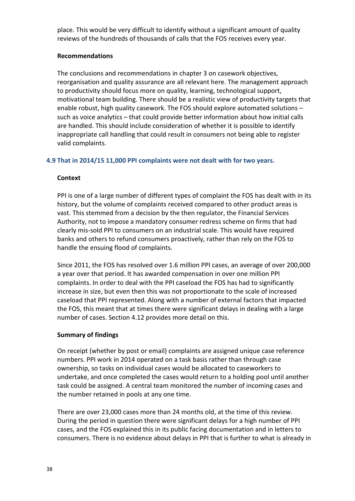place. This would be very difficult to identify without a significant amount of quality reviews of the hundreds of thousands of calls that the FOS receives every year.

## **Recommendations**

The conclusions and recommendations in chapter 3 on casework objectives, reorganisation and quality assurance are all relevant here. The management approach to productivity should focus more on quality, learning, technological support, motivational team building. There should be a realistic view of productivity targets that enable robust, high quality casework. The FOS should explore automated solutions – such as voice analytics – that could provide better information about how initial calls are handled. This should include consideration of whether it is possible to identify inappropriate call handling that could result in consumers not being able to register valid complaints.

## **4.9 That in 2014/15 11,000 PPI complaints were not dealt with for two years.**

## **Context**

PPI is one of a large number of different types of complaint the FOS has dealt with in its history, but the volume of complaints received compared to other product areas is vast. This stemmed from a decision by the then regulator, the Financial Services Authority, not to impose a mandatory consumer redress scheme on firms that had clearly mis-sold PPI to consumers on an industrial scale. This would have required banks and others to refund consumers proactively, rather than rely on the FOS to handle the ensuing flood of complaints.

Since 2011, the FOS has resolved over 1.6 million PPI cases, an average of over 200,000 a year over that period. It has awarded compensation in over one million PPI complaints. In order to deal with the PPI caseload the FOS has had to significantly increase in size, but even then this was not proportionate to the scale of increased caseload that PPI represented. Along with a number of external factors that impacted the FOS, this meant that at times there were significant delays in dealing with a large number of cases. Section 4.12 provides more detail on this.

## **Summary of findings**

On receipt (whether by post or email) complaints are assigned unique case reference numbers. PPI work in 2014 operated on a task basis rather than through case ownership, so tasks on individual cases would be allocated to caseworkers to undertake, and once completed the cases would return to a holding pool until another task could be assigned. A central team monitored the number of incoming cases and the number retained in pools at any one time.

There are over 23,000 cases more than 24 months old, at the time of this review. During the period in question there were significant delays for a high number of PPI cases, and the FOS explained this in its public facing documentation and in letters to consumers. There is no evidence about delays in PPI that is further to what is already in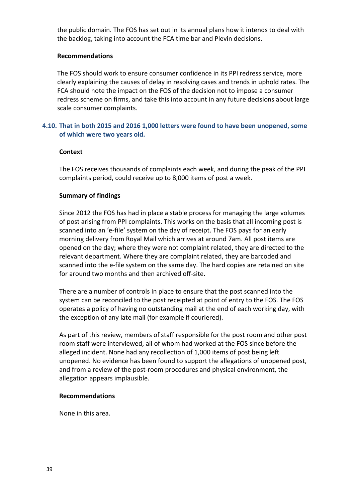the public domain. The FOS has set out in its annual plans how it intends to deal with the backlog, taking into account the FCA time bar and Plevin decisions.

## **Recommendations**

The FOS should work to ensure consumer confidence in its PPI redress service, more clearly explaining the causes of delay in resolving cases and trends in uphold rates. The FCA should note the impact on the FOS of the decision not to impose a consumer redress scheme on firms, and take this into account in any future decisions about large scale consumer complaints.

## **4.10. That in both 2015 and 2016 1,000 letters were found to have been unopened, some of which were two years old.**

#### **Context**

The FOS receives thousands of complaints each week, and during the peak of the PPI complaints period, could receive up to 8,000 items of post a week.

#### **Summary of findings**

Since 2012 the FOS has had in place a stable process for managing the large volumes of post arising from PPI complaints. This works on the basis that all incoming post is scanned into an 'e-file' system on the day of receipt. The FOS pays for an early morning delivery from Royal Mail which arrives at around 7am. All post items are opened on the day; where they were not complaint related, they are directed to the relevant department. Where they are complaint related, they are barcoded and scanned into the e-file system on the same day. The hard copies are retained on site for around two months and then archived off-site.

There are a number of controls in place to ensure that the post scanned into the system can be reconciled to the post receipted at point of entry to the FOS. The FOS operates a policy of having no outstanding mail at the end of each working day, with the exception of any late mail (for example if couriered).

As part of this review, members of staff responsible for the post room and other post room staff were interviewed, all of whom had worked at the FOS since before the alleged incident. None had any recollection of 1,000 items of post being left unopened. No evidence has been found to support the allegations of unopened post, and from a review of the post-room procedures and physical environment, the allegation appears implausible.

#### **Recommendations**

None in this area.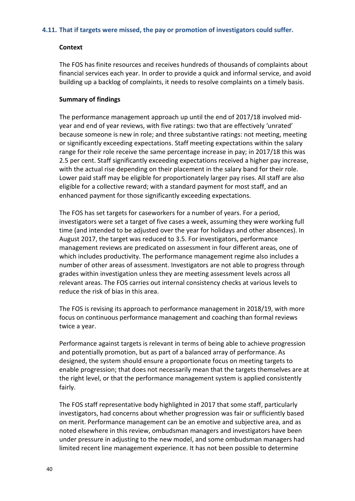#### **4.11. That if targets were missed, the pay or promotion of investigators could suffer.**

#### **Context**

The FOS has finite resources and receives hundreds of thousands of complaints about financial services each year. In order to provide a quick and informal service, and avoid building up a backlog of complaints, it needs to resolve complaints on a timely basis.

#### **Summary of findings**

The performance management approach up until the end of 2017/18 involved midyear and end of year reviews, with five ratings: two that are effectively 'unrated' because someone is new in role; and three substantive ratings: not meeting, meeting or significantly exceeding expectations. Staff meeting expectations within the salary range for their role receive the same percentage increase in pay; in 2017/18 this was 2.5 per cent. Staff significantly exceeding expectations received a higher pay increase, with the actual rise depending on their placement in the salary band for their role. Lower paid staff may be eligible for proportionately larger pay rises. All staff are also eligible for a collective reward; with a standard payment for most staff, and an enhanced payment for those significantly exceeding expectations.

The FOS has set targets for caseworkers for a number of years. For a period, investigators were set a target of five cases a week, assuming they were working full time (and intended to be adjusted over the year for holidays and other absences). In August 2017, the target was reduced to 3.5. For investigators, performance management reviews are predicated on assessment in four different areas, one of which includes productivity. The performance management regime also includes a number of other areas of assessment. Investigators are not able to progress through grades within investigation unless they are meeting assessment levels across all relevant areas. The FOS carries out internal consistency checks at various levels to reduce the risk of bias in this area.

The FOS is revising its approach to performance management in 2018/19, with more focus on continuous performance management and coaching than formal reviews twice a year.

Performance against targets is relevant in terms of being able to achieve progression and potentially promotion, but as part of a balanced array of performance. As designed, the system should ensure a proportionate focus on meeting targets to enable progression; that does not necessarily mean that the targets themselves are at the right level, or that the performance management system is applied consistently fairly.

The FOS staff representative body highlighted in 2017 that some staff, particularly investigators, had concerns about whether progression was fair or sufficiently based on merit. Performance management can be an emotive and subjective area, and as noted elsewhere in this review, ombudsman managers and investigators have been under pressure in adjusting to the new model, and some ombudsman managers had limited recent line management experience. It has not been possible to determine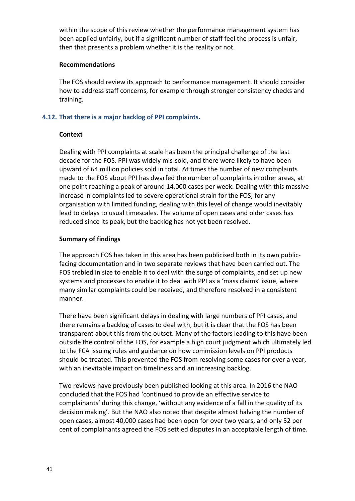within the scope of this review whether the performance management system has been applied unfairly, but if a significant number of staff feel the process is unfair, then that presents a problem whether it is the reality or not.

#### **Recommendations**

The FOS should review its approach to performance management. It should consider how to address staff concerns, for example through stronger consistency checks and training.

## **4.12. That there is a major backlog of PPI complaints.**

## **Context**

Dealing with PPI complaints at scale has been the principal challenge of the last decade for the FOS. PPI was widely mis-sold, and there were likely to have been upward of 64 million policies sold in total. At times the number of new complaints made to the FOS about PPI has dwarfed the number of complaints in other areas, at one point reaching a peak of around 14,000 cases per week. Dealing with this massive increase in complaints led to severe operational strain for the FOS; for any organisation with limited funding, dealing with this level of change would inevitably lead to delays to usual timescales. The volume of open cases and older cases has reduced since its peak, but the backlog has not yet been resolved.

## **Summary of findings**

The approach FOS has taken in this area has been publicised both in its own publicfacing documentation and in two separate reviews that have been carried out. The FOS trebled in size to enable it to deal with the surge of complaints, and set up new systems and processes to enable it to deal with PPI as a 'mass claims' issue, where many similar complaints could be received, and therefore resolved in a consistent manner.

There have been significant delays in dealing with large numbers of PPI cases, and there remains a backlog of cases to deal with, but it is clear that the FOS has been transparent about this from the outset. Many of the factors leading to this have been outside the control of the FOS, for example a high court judgment which ultimately led to the FCA issuing rules and guidance on how commission levels on PPI products should be treated. This prevented the FOS from resolving some cases for over a year, with an inevitable impact on timeliness and an increasing backlog.

Two reviews have previously been published looking at this area. In 2016 the NAO concluded that the FOS had 'continued to provide an effective service to complainants' during this change, 'without any evidence of a fall in the quality of its decision making'. But the NAO also noted that despite almost halving the number of open cases, almost 40,000 cases had been open for over two years, and only 52 per cent of complainants agreed the FOS settled disputes in an acceptable length of time.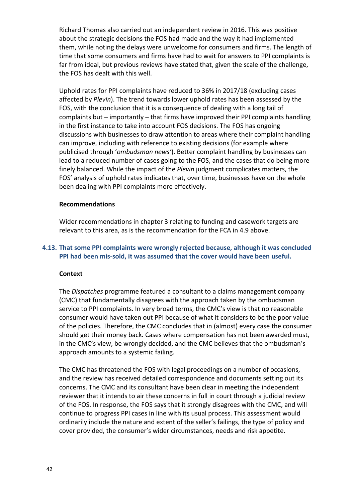Richard Thomas also carried out an independent review in 2016. This was positive about the strategic decisions the FOS had made and the way it had implemented them, while noting the delays were unwelcome for consumers and firms. The length of time that some consumers and firms have had to wait for answers to PPI complaints is far from ideal, but previous reviews have stated that, given the scale of the challenge, the FOS has dealt with this well.

Uphold rates for PPI complaints have reduced to 36% in 2017/18 (excluding cases affected by *Plevin*). The trend towards lower uphold rates has been assessed by the FOS, with the conclusion that it is a consequence of dealing with a long tail of complaints but – importantly – that firms have improved their PPI complaints handling in the first instance to take into account FOS decisions. The FOS has ongoing discussions with businesses to draw attention to areas where their complaint handling can improve, including with reference to existing decisions (for example where publicised through '*ombudsman news'*). Better complaint handling by businesses can lead to a reduced number of cases going to the FOS, and the cases that do being more finely balanced. While the impact of the *Plevin* judgment complicates matters, the FOS' analysis of uphold rates indicates that, over time, businesses have on the whole been dealing with PPI complaints more effectively.

#### **Recommendations**

Wider recommendations in chapter 3 relating to funding and casework targets are relevant to this area, as is the recommendation for the FCA in 4.9 above.

## **4.13. That some PPI complaints were wrongly rejected because, although it was concluded PPI had been mis-sold, it was assumed that the cover would have been useful.**

#### **Context**

The *Dispatches* programme featured a consultant to a claims management company (CMC) that fundamentally disagrees with the approach taken by the ombudsman service to PPI complaints. In very broad terms, the CMC's view is that no reasonable consumer would have taken out PPI because of what it considers to be the poor value of the policies. Therefore, the CMC concludes that in (almost) every case the consumer should get their money back. Cases where compensation has not been awarded must, in the CMC's view, be wrongly decided, and the CMC believes that the ombudsman's approach amounts to a systemic failing.

The CMC has threatened the FOS with legal proceedings on a number of occasions, and the review has received detailed correspondence and documents setting out its concerns. The CMC and its consultant have been clear in meeting the independent reviewer that it intends to air these concerns in full in court through a judicial review of the FOS. In response, the FOS says that it strongly disagrees with the CMC, and will continue to progress PPI cases in line with its usual process. This assessment would ordinarily include the nature and extent of the seller's failings, the type of policy and cover provided, the consumer's wider circumstances, needs and risk appetite.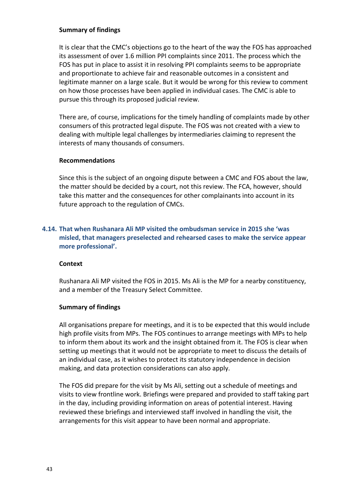## **Summary of findings**

It is clear that the CMC's objections go to the heart of the way the FOS has approached its assessment of over 1.6 million PPI complaints since 2011. The process which the FOS has put in place to assist it in resolving PPI complaints seems to be appropriate and proportionate to achieve fair and reasonable outcomes in a consistent and legitimate manner on a large scale. But it would be wrong for this review to comment on how those processes have been applied in individual cases. The CMC is able to pursue this through its proposed judicial review.

There are, of course, implications for the timely handling of complaints made by other consumers of this protracted legal dispute. The FOS was not created with a view to dealing with multiple legal challenges by intermediaries claiming to represent the interests of many thousands of consumers.

## **Recommendations**

Since this is the subject of an ongoing dispute between a CMC and FOS about the law, the matter should be decided by a court, not this review. The FCA, however, should take this matter and the consequences for other complainants into account in its future approach to the regulation of CMCs.

## **4.14. That when Rushanara Ali MP visited the ombudsman service in 2015 she 'was misled, that managers preselected and rehearsed cases to make the service appear more professional'.**

## **Context**

Rushanara Ali MP visited the FOS in 2015. Ms Ali is the MP for a nearby constituency, and a member of the Treasury Select Committee.

## **Summary of findings**

All organisations prepare for meetings, and it is to be expected that this would include high profile visits from MPs. The FOS continues to arrange meetings with MPs to help to inform them about its work and the insight obtained from it. The FOS is clear when setting up meetings that it would not be appropriate to meet to discuss the details of an individual case, as it wishes to protect its statutory independence in decision making, and data protection considerations can also apply.

The FOS did prepare for the visit by Ms Ali, setting out a schedule of meetings and visits to view frontline work. Briefings were prepared and provided to staff taking part in the day, including providing information on areas of potential interest. Having reviewed these briefings and interviewed staff involved in handling the visit, the arrangements for this visit appear to have been normal and appropriate.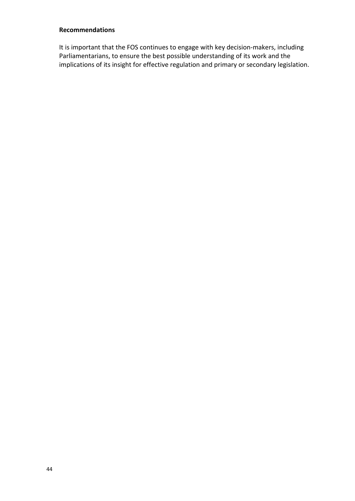## **Recommendations**

It is important that the FOS continues to engage with key decision-makers, including Parliamentarians, to ensure the best possible understanding of its work and the implications of its insight for effective regulation and primary or secondary legislation.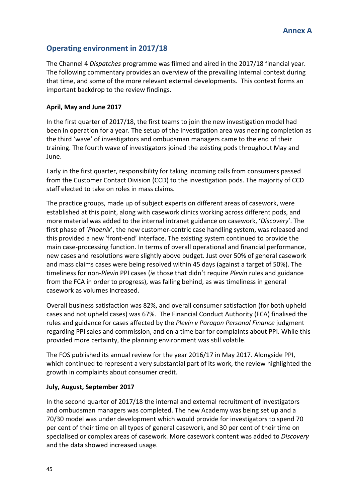# **Operating environment in 2017/18**

The Channel 4 *Dispatches* programme was filmed and aired in the 2017/18 financial year. The following commentary provides an overview of the prevailing internal context during that time, and some of the more relevant external developments. This context forms an important backdrop to the review findings.

## **April, May and June 2017**

In the first quarter of 2017/18, the first teams to join the new investigation model had been in operation for a year. The setup of the investigation area was nearing completion as the third 'wave' of investigators and ombudsman managers came to the end of their training. The fourth wave of investigators joined the existing pods throughout May and June.

Early in the first quarter, responsibility for taking incoming calls from consumers passed from the Customer Contact Division (CCD) to the investigation pods. The majority of CCD staff elected to take on roles in mass claims.

The practice groups, made up of subject experts on different areas of casework, were established at this point, along with casework clinics working across different pods, and more material was added to the internal intranet guidance on casework, '*Discovery*'. The first phase of '*Phoenix*', the new customer-centric case handling system, was released and this provided a new 'front-end' interface. The existing system continued to provide the main case-processing function. In terms of overall operational and financial performance, new cases and resolutions were slightly above budget. Just over 50% of general casework and mass claims cases were being resolved within 45 days (against a target of 50%). The timeliness for non-*Plevin* PPI cases (*ie* those that didn't require *Plevin* rules and guidance from the FCA in order to progress), was falling behind, as was timeliness in general casework as volumes increased.

Overall business satisfaction was 82%, and overall consumer satisfaction (for both upheld cases and not upheld cases) was 67%. The Financial Conduct Authority (FCA) finalised the rules and guidance for cases affected by the *Plevin v Paragon Personal Finance* judgment regarding PPI sales and commission, and on a time bar for complaints about PPI. While this provided more certainty, the planning environment was still volatile.

The FOS published its annual review for the year 2016/17 in May 2017. Alongside PPI, which continued to represent a very substantial part of its work, the review highlighted the growth in complaints about consumer credit.

## **July, August, September 2017**

In the second quarter of 2017/18 the internal and external recruitment of investigators and ombudsman managers was completed. The new Academy was being set up and a 70/30 model was under development which would provide for investigators to spend 70 per cent of their time on all types of general casework, and 30 per cent of their time on specialised or complex areas of casework. More casework content was added to *Discovery* and the data showed increased usage.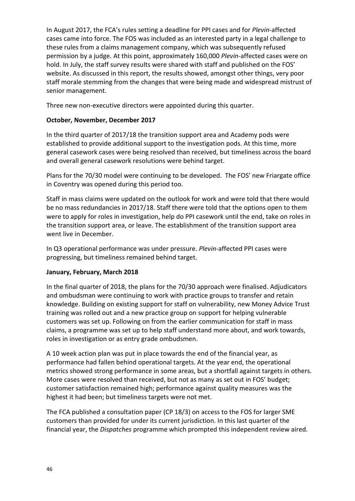In August 2017, the FCA's rules setting a deadline for PPI cases and for *Plevin-*affected cases came into force. The FOS was included as an interested party in a legal challenge to these rules from a claims management company, which was subsequently refused permission by a judge. At this point, approximately 160,000 *Plevin*-affected cases were on hold. In July, the staff survey results were shared with staff and published on the FOS' website. As discussed in this report, the results showed, amongst other things, very poor staff morale stemming from the changes that were being made and widespread mistrust of senior management.

Three new non-executive directors were appointed during this quarter.

## **October, November, December 2017**

In the third quarter of 2017/18 the transition support area and Academy pods were established to provide additional support to the investigation pods. At this time, more general casework cases were being resolved than received, but timeliness across the board and overall general casework resolutions were behind target.

Plans for the 70/30 model were continuing to be developed. The FOS' new Friargate office in Coventry was opened during this period too.

Staff in mass claims were updated on the outlook for work and were told that there would be no mass redundancies in 2017/18. Staff there were told that the options open to them were to apply for roles in investigation, help do PPI casework until the end, take on roles in the transition support area, or leave. The establishment of the transition support area went live in December.

In Q3 operational performance was under pressure. *Plevin*-affected PPI cases were progressing, but timeliness remained behind target.

## **January, February, March 2018**

In the final quarter of 2018, the plans for the 70/30 approach were finalised. Adjudicators and ombudsman were continuing to work with practice groups to transfer and retain knowledge. Building on existing support for staff on vulnerability, new Money Advice Trust training was rolled out and a new practice group on support for helping vulnerable customers was set up. Following on from the earlier communication for staff in mass claims, a programme was set up to help staff understand more about, and work towards, roles in investigation or as entry grade ombudsmen.

A 10 week action plan was put in place towards the end of the financial year, as performance had fallen behind operational targets. At the year end, the operational metrics showed strong performance in some areas, but a shortfall against targets in others. More cases were resolved than received, but not as many as set out in FOS' budget; customer satisfaction remained high; performance against quality measures was the highest it had been; but timeliness targets were not met.

The FCA published a consultation paper (CP 18/3) on access to the FOS for larger SME customers than provided for under its current jurisdiction. In this last quarter of the financial year, the *Dispatches* programme which prompted this independent review aired.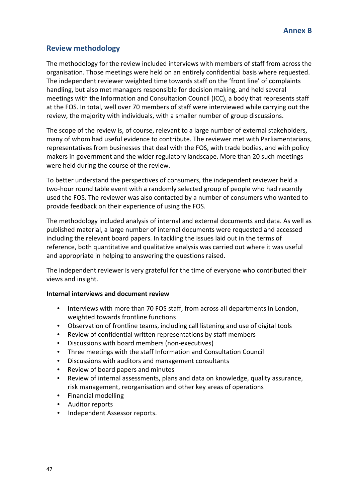# **Review methodology**

The methodology for the review included interviews with members of staff from across the organisation. Those meetings were held on an entirely confidential basis where requested. The independent reviewer weighted time towards staff on the 'front line' of complaints handling, but also met managers responsible for decision making, and held several meetings with the Information and Consultation Council (ICC), a body that represents staff at the FOS. In total, well over 70 members of staff were interviewed while carrying out the review, the majority with individuals, with a smaller number of group discussions.

The scope of the review is, of course, relevant to a large number of external stakeholders, many of whom had useful evidence to contribute. The reviewer met with Parliamentarians, representatives from businesses that deal with the FOS, with trade bodies, and with policy makers in government and the wider regulatory landscape. More than 20 such meetings were held during the course of the review.

To better understand the perspectives of consumers, the independent reviewer held a two-hour round table event with a randomly selected group of people who had recently used the FOS. The reviewer was also contacted by a number of consumers who wanted to provide feedback on their experience of using the FOS.

The methodology included analysis of internal and external documents and data. As well as published material, a large number of internal documents were requested and accessed including the relevant board papers. In tackling the issues laid out in the terms of reference, both quantitative and qualitative analysis was carried out where it was useful and appropriate in helping to answering the questions raised.

The independent reviewer is very grateful for the time of everyone who contributed their views and insight.

## **Internal interviews and document review**

- Interviews with more than 70 FOS staff, from across all departments in London, weighted towards frontline functions
- Observation of frontline teams, including call listening and use of digital tools
- Review of confidential written representations by staff members
- Discussions with board members (non-executives)
- Three meetings with the staff Information and Consultation Council
- Discussions with auditors and management consultants
- Review of board papers and minutes
- Review of internal assessments, plans and data on knowledge, quality assurance, risk management, reorganisation and other key areas of operations
- Financial modelling
- Auditor reports
- Independent Assessor reports.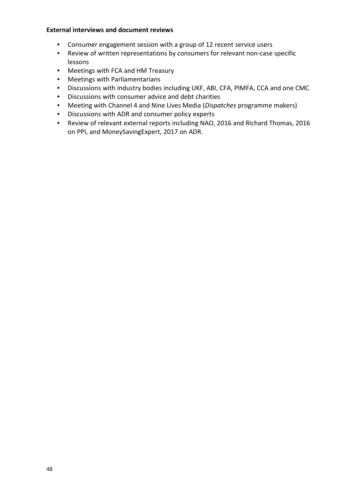## **External interviews and document reviews**

- Consumer engagement session with a group of 12 recent service users
- Review of written representations by consumers for relevant non-case specific lessons
- Meetings with FCA and HM Treasury
- Meetings with Parliamentarians
- Discussions with industry bodies including UKF, ABI, CFA, PIMFA, CCA and one CMC
- Discussions with consumer advice and debt charities
- Meeting with Channel 4 and Nine Lives Media (*Dispatches* programme makers)
- Discussions with ADR and consumer policy experts
- Review of relevant external reports including NAO, 2016 and Richard Thomas, 2016 on PPI, and MoneySavingExpert, 2017 on ADR.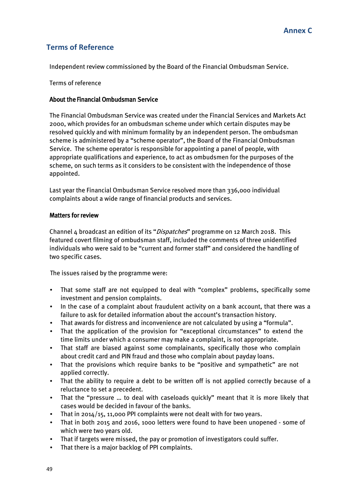# **Terms of Reference**

Independent review commissioned by the Board of the Financial Ombudsman Service.

Terms of reference

## About the Financial Ombudsman Service

The Financial Ombudsman Service was created under the Financial Services and Markets Act 2000, which provides for an ombudsman scheme under which certain disputes may be resolved quickly and with minimum formality by an independent person. The ombudsman scheme is administered by a "scheme operator", the Board of the Financial Ombudsman Service. The scheme operator is responsible for appointing a panel of people, with appropriate qualifications and experience, to act as ombudsmen for the purposes of the scheme, on such terms as it considers to be consistent with the independence of those appointed.

Last year the Financial Ombudsman Service resolved more than 336,000 individual complaints about a wide range of financial products and services.

## Matters for review

Channel 4 broadcast an edition of its "Dispatches" programme on 12 March 2018. This featured covert filming of ombudsman staff, included the comments of three unidentified individuals who were said to be "current and former staff" and considered the handling of two specific cases.

The issues raised by the programme were:

- That some staff are not equipped to deal with "complex" problems, specifically some investment and pension complaints.
- In the case of a complaint about fraudulent activity on a bank account, that there was a failure to ask for detailed information about the account's transaction history.
- That awards for distress and inconvenience are not calculated by using a "formula".
- That the application of the provision for "exceptional circumstances" to extend the time limits under which a consumer may make a complaint, is not appropriate.
- That staff are biased against some complainants, specifically those who complain about credit card and PIN fraud and those who complain about payday loans.
- That the provisions which require banks to be "positive and sympathetic" are not applied correctly.
- That the ability to require a debt to be written off is not applied correctly because of a reluctance to set a precedent.
- That the "pressure ... to deal with caseloads quickly" meant that it is more likely that cases would be decided in favour of the banks.
- That in 2014/15, 11,000 PPI complaints were not dealt with for two years.
- That in both 2015 and 2016, 1000 letters were found to have been unopened some of which were two years old.
- That if targets were missed, the pay or promotion of investigators could suffer.
- That there is a major backlog of PPI complaints.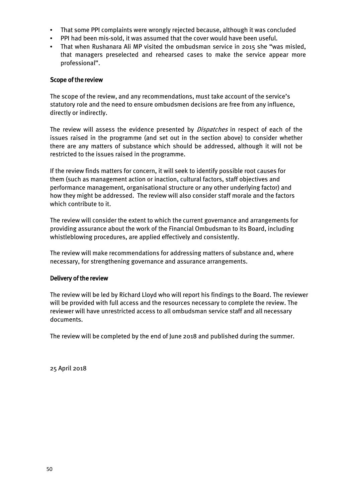- That some PPI complaints were wrongly rejected because, although it was concluded
- PPI had been mis-sold, it was assumed that the cover would have been useful.
- That when Rushanara Ali MP visited the ombudsman service in 2015 she "was misled, that managers preselected and rehearsed cases to make the service appear more professional".

## Scope of the review

The scope of the review, and any recommendations, must take account of the service's statutory role and the need to ensure ombudsmen decisions are free from any influence, directly or indirectly.

The review will assess the evidence presented by *Dispatches* in respect of each of the issues raised in the programme (and set out in the section above) to consider whether there are any matters of substance which should be addressed, although it will not be restricted to the issues raised in the programme.

If the review finds matters for concern, it will seek to identify possible root causes for them (such as management action or inaction, cultural factors, staff objectives and performance management, organisational structure or any other underlying factor) and how they might be addressed. The review will also consider staff morale and the factors which contribute to it.

The review will consider the extent to which the current governance and arrangements for providing assurance about the work of the Financial Ombudsman to its Board, including whistleblowing procedures, are applied effectively and consistently.

The review will make recommendations for addressing matters of substance and, where necessary, for strengthening governance and assurance arrangements.

## Delivery of the review

The review will be led by Richard Lloyd who will report his findings to the Board. The reviewer will be provided with full access and the resources necessary to complete the review. The reviewer will have unrestricted access to all ombudsman service staff and all necessary documents.

The review will be completed by the end of June 2018 and published during the summer.

25 April 2018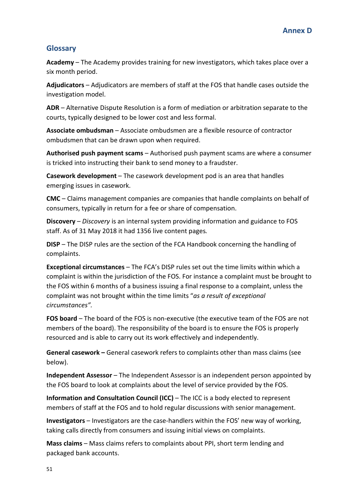# **Glossary**

**Academy** – The Academy provides training for new investigators, which takes place over a six month period.

**Adjudicators** – Adjudicators are members of staff at the FOS that handle cases outside the investigation model.

**ADR** – Alternative Dispute Resolution is a form of mediation or arbitration separate to the courts, typically designed to be lower cost and less formal.

**Associate ombudsman** – Associate ombudsmen are a flexible resource of contractor ombudsmen that can be drawn upon when required.

**Authorised push payment scams** – Authorised push payment scams are where a consumer is tricked into instructing their bank to send money to a fraudster.

**Casework development** – The casework development pod is an area that handles emerging issues in casework.

**CMC** – Claims management companies are companies that handle complaints on behalf of consumers, typically in return for a fee or share of compensation.

**Discovery** – *Discovery* is an internal system providing information and guidance to FOS staff. As of 31 May 2018 it had 1356 live content pages*.* 

**DISP** – The DISP rules are the section of the FCA Handbook concerning the handling of complaints.

**Exceptional circumstances** – The FCA's DISP rules set out the time limits within which a complaint is within the jurisdiction of the FOS. For instance a complaint must be brought to the FOS within 6 months of a business issuing a final response to a complaint, unless the complaint was not brought within the time limits "*as a result of exceptional circumstances".*

**FOS board** – The board of the FOS is non-executive (the executive team of the FOS are not members of the board). The responsibility of the board is to ensure the FOS is properly resourced and is able to carry out its work effectively and independently.

**General casework –** General casework refers to complaints other than mass claims (see below).

**Independent Assessor** – The Independent Assessor is an independent person appointed by the FOS board to look at complaints about the level of service provided by the FOS.

**Information and Consultation Council (ICC)** – The ICC is a body elected to represent members of staff at the FOS and to hold regular discussions with senior management.

**Investigators** – Investigators are the case-handlers within the FOS' new way of working, taking calls directly from consumers and issuing initial views on complaints.

**Mass claims** – Mass claims refers to complaints about PPI, short term lending and packaged bank accounts.